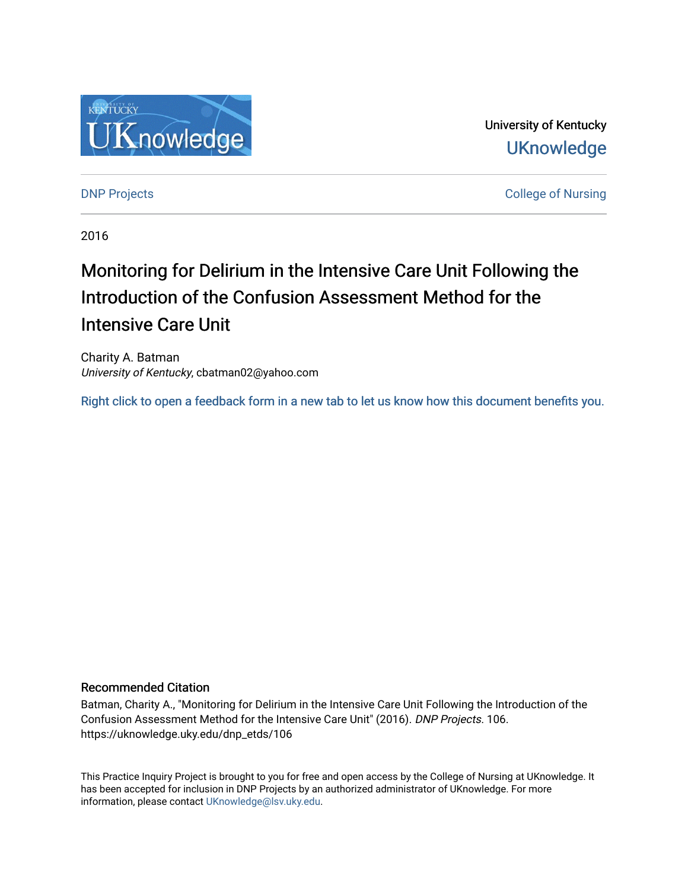

University of Kentucky **UKnowledge** 

[DNP Projects](https://uknowledge.uky.edu/dnp_etds) **College of Nursing** 

2016

# Monitoring for Delirium in the Intensive Care Unit Following the Introduction of the Confusion Assessment Method for the Intensive Care Unit

Charity A. Batman University of Kentucky, cbatman02@yahoo.com

[Right click to open a feedback form in a new tab to let us know how this document benefits you.](https://uky.az1.qualtrics.com/jfe/form/SV_9mq8fx2GnONRfz7)

#### Recommended Citation

Batman, Charity A., "Monitoring for Delirium in the Intensive Care Unit Following the Introduction of the Confusion Assessment Method for the Intensive Care Unit" (2016). DNP Projects. 106. https://uknowledge.uky.edu/dnp\_etds/106

This Practice Inquiry Project is brought to you for free and open access by the College of Nursing at UKnowledge. It has been accepted for inclusion in DNP Projects by an authorized administrator of UKnowledge. For more information, please contact [UKnowledge@lsv.uky.edu](mailto:UKnowledge@lsv.uky.edu).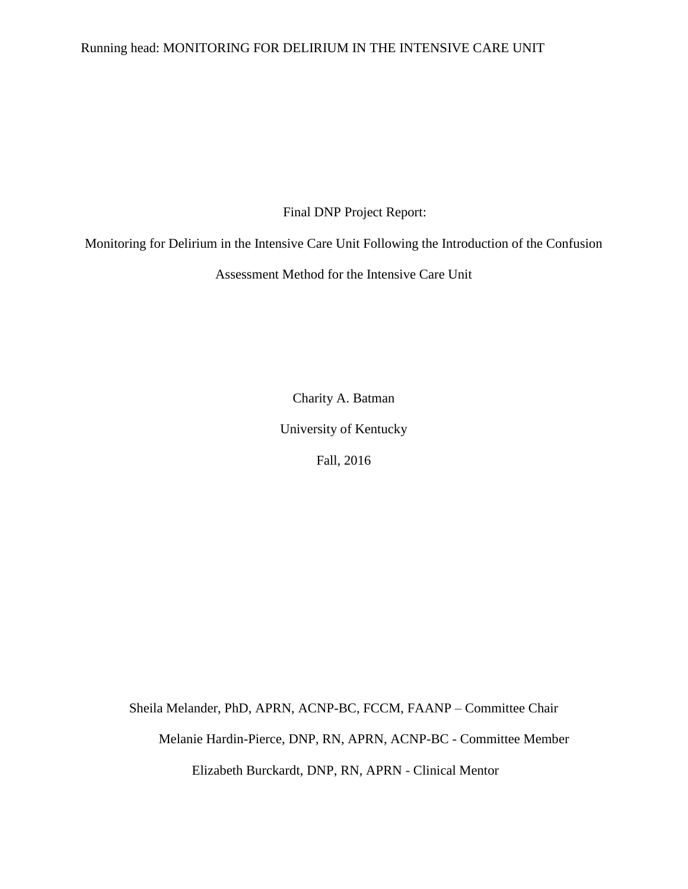### Running head: MONITORING FOR DELIRIUM IN THE INTENSIVE CARE UNIT

Final DNP Project Report:

Monitoring for Delirium in the Intensive Care Unit Following the Introduction of the Confusion

Assessment Method for the Intensive Care Unit

Charity A. Batman

University of Kentucky

Fall, 2016

Sheila Melander, PhD, APRN, ACNP-BC, FCCM, FAANP – Committee Chair Melanie Hardin-Pierce, DNP, RN, APRN, ACNP-BC - Committee Member Elizabeth Burckardt, DNP, RN, APRN - Clinical Mentor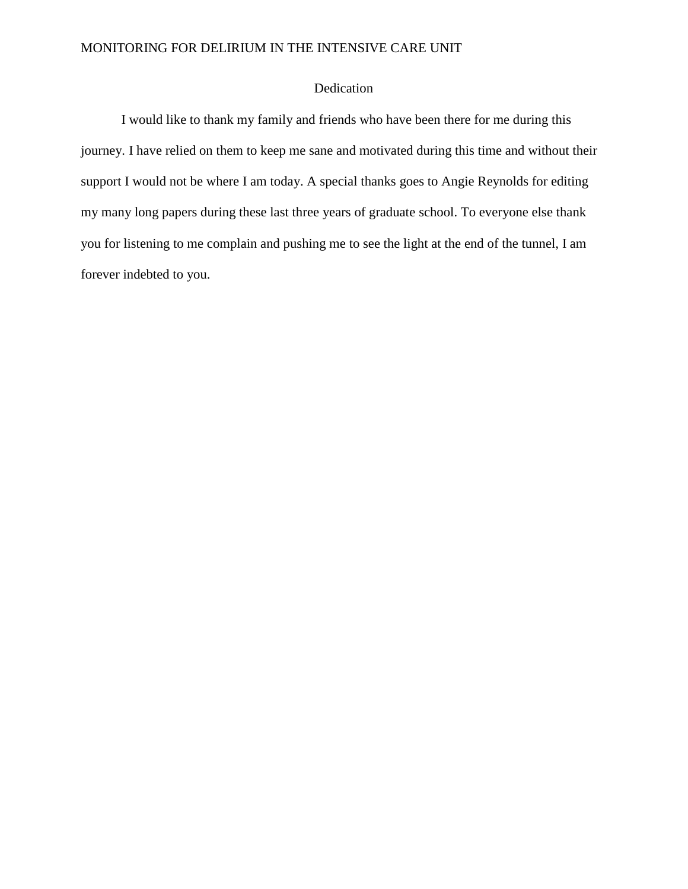### Dedication

I would like to thank my family and friends who have been there for me during this journey. I have relied on them to keep me sane and motivated during this time and without their support I would not be where I am today. A special thanks goes to Angie Reynolds for editing my many long papers during these last three years of graduate school. To everyone else thank you for listening to me complain and pushing me to see the light at the end of the tunnel, I am forever indebted to you.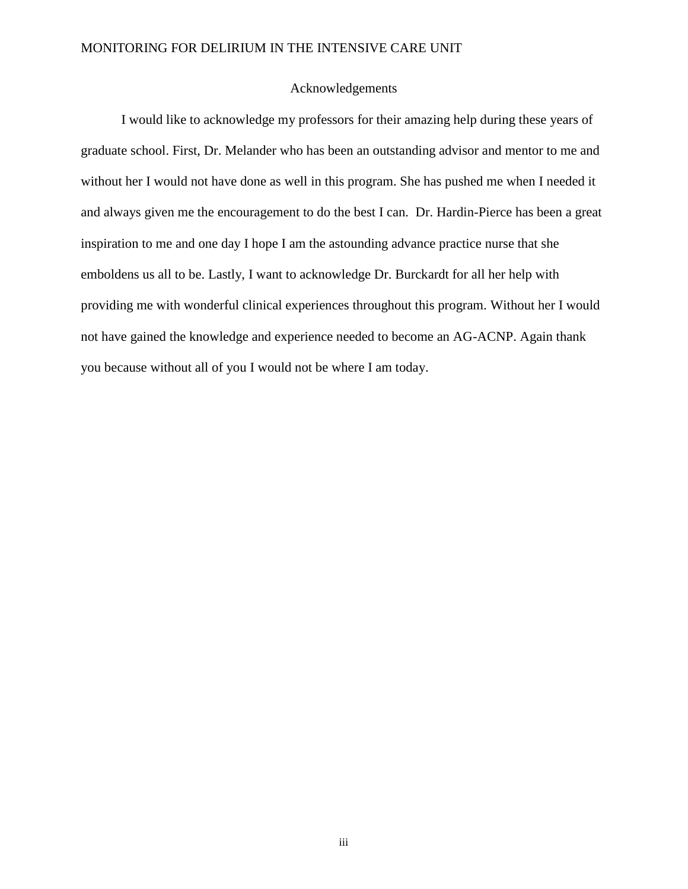#### Acknowledgements

I would like to acknowledge my professors for their amazing help during these years of graduate school. First, Dr. Melander who has been an outstanding advisor and mentor to me and without her I would not have done as well in this program. She has pushed me when I needed it and always given me the encouragement to do the best I can. Dr. Hardin-Pierce has been a great inspiration to me and one day I hope I am the astounding advance practice nurse that she emboldens us all to be. Lastly, I want to acknowledge Dr. Burckardt for all her help with providing me with wonderful clinical experiences throughout this program. Without her I would not have gained the knowledge and experience needed to become an AG-ACNP. Again thank you because without all of you I would not be where I am today.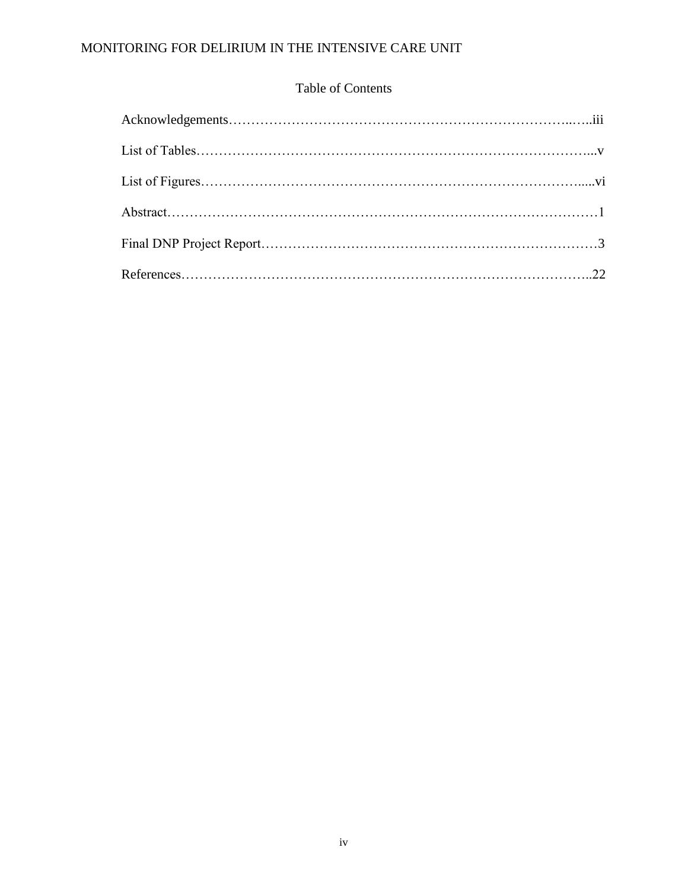# Table of Contents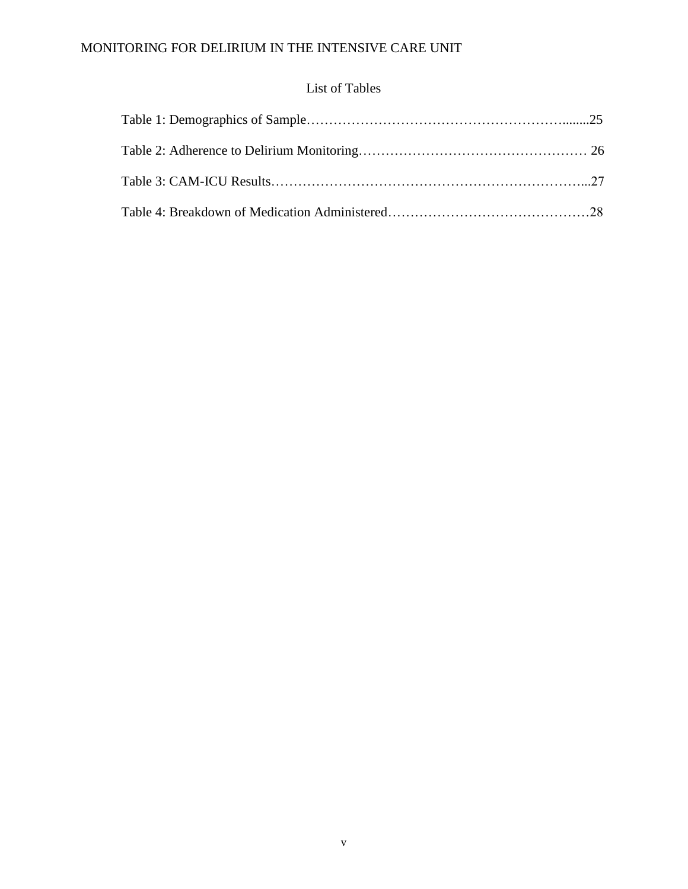# List of Tables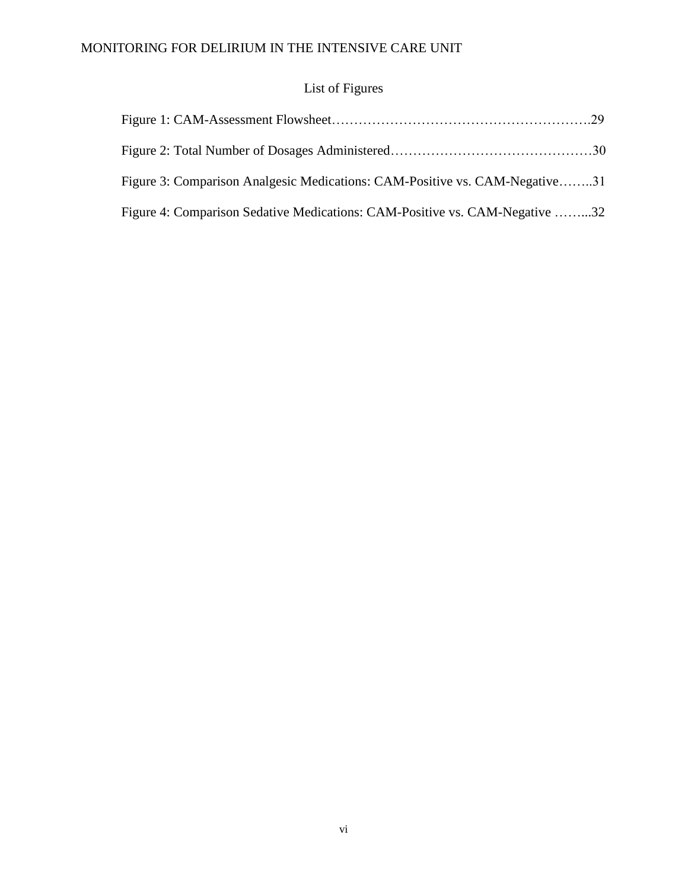# List of Figures

| Figure 3: Comparison Analgesic Medications: CAM-Positive vs. CAM-Negative31 |  |
|-----------------------------------------------------------------------------|--|
| Figure 4: Comparison Sedative Medications: CAM-Positive vs. CAM-Negative 32 |  |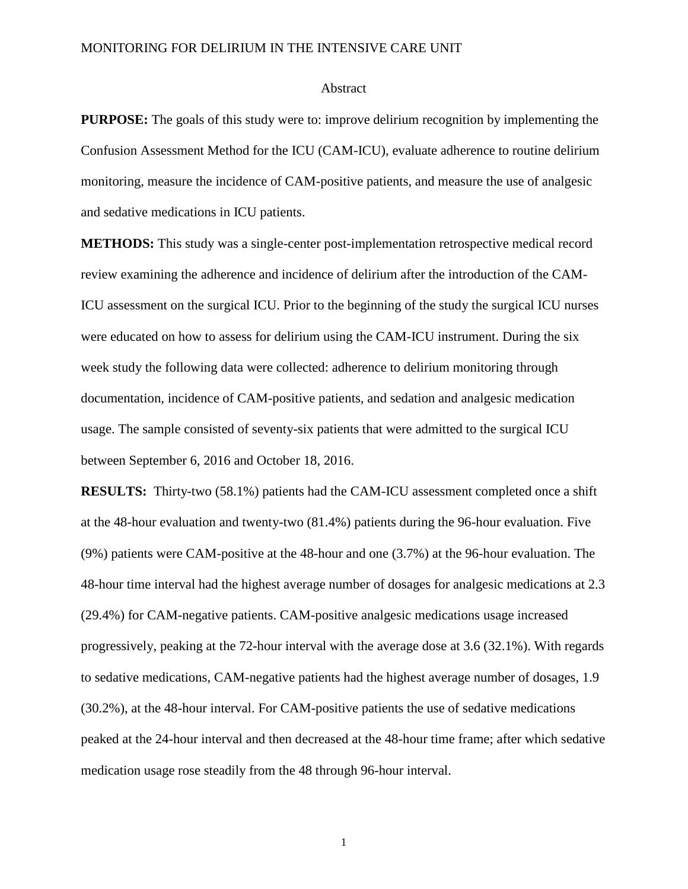#### Abstract

**PURPOSE:** The goals of this study were to: improve delirium recognition by implementing the Confusion Assessment Method for the ICU (CAM-ICU), evaluate adherence to routine delirium monitoring, measure the incidence of CAM-positive patients, and measure the use of analgesic and sedative medications in ICU patients.

**METHODS:** This study was a single-center post-implementation retrospective medical record review examining the adherence and incidence of delirium after the introduction of the CAM-ICU assessment on the surgical ICU. Prior to the beginning of the study the surgical ICU nurses were educated on how to assess for delirium using the CAM-ICU instrument. During the six week study the following data were collected: adherence to delirium monitoring through documentation, incidence of CAM-positive patients, and sedation and analgesic medication usage. The sample consisted of seventy-six patients that were admitted to the surgical ICU between September 6, 2016 and October 18, 2016.

**RESULTS:** Thirty-two (58.1%) patients had the CAM-ICU assessment completed once a shift at the 48-hour evaluation and twenty-two (81.4%) patients during the 96-hour evaluation. Five (9%) patients were CAM-positive at the 48-hour and one (3.7%) at the 96-hour evaluation. The 48-hour time interval had the highest average number of dosages for analgesic medications at 2.3 (29.4%) for CAM-negative patients. CAM-positive analgesic medications usage increased progressively, peaking at the 72-hour interval with the average dose at 3.6 (32.1%). With regards to sedative medications, CAM-negative patients had the highest average number of dosages, 1.9 (30.2%), at the 48-hour interval. For CAM-positive patients the use of sedative medications peaked at the 24-hour interval and then decreased at the 48-hour time frame; after which sedative medication usage rose steadily from the 48 through 96-hour interval.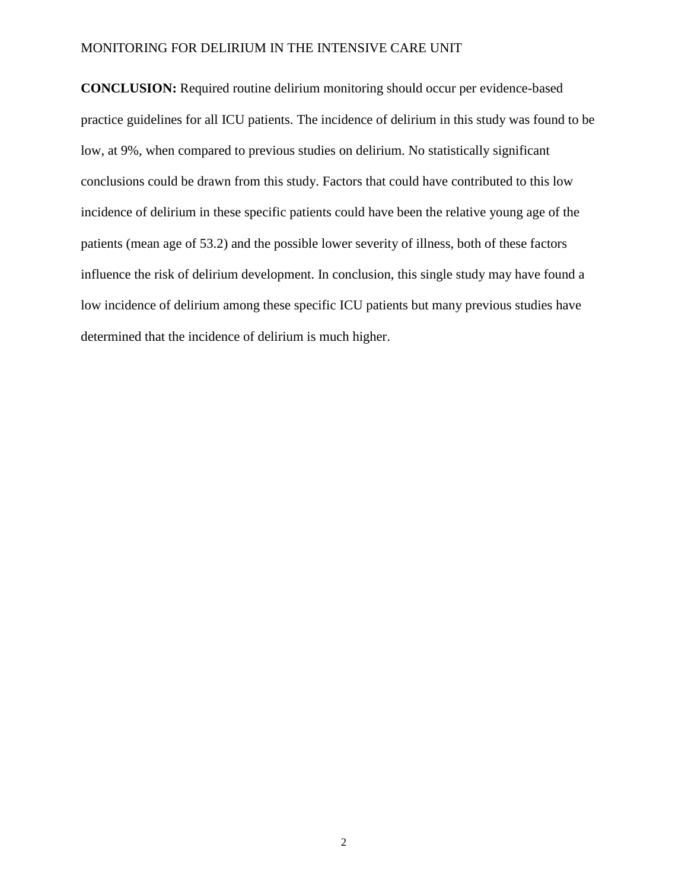**CONCLUSION:** Required routine delirium monitoring should occur per evidence-based practice guidelines for all ICU patients. The incidence of delirium in this study was found to be low, at 9%, when compared to previous studies on delirium. No statistically significant conclusions could be drawn from this study. Factors that could have contributed to this low incidence of delirium in these specific patients could have been the relative young age of the patients (mean age of 53.2) and the possible lower severity of illness, both of these factors influence the risk of delirium development. In conclusion, this single study may have found a low incidence of delirium among these specific ICU patients but many previous studies have determined that the incidence of delirium is much higher.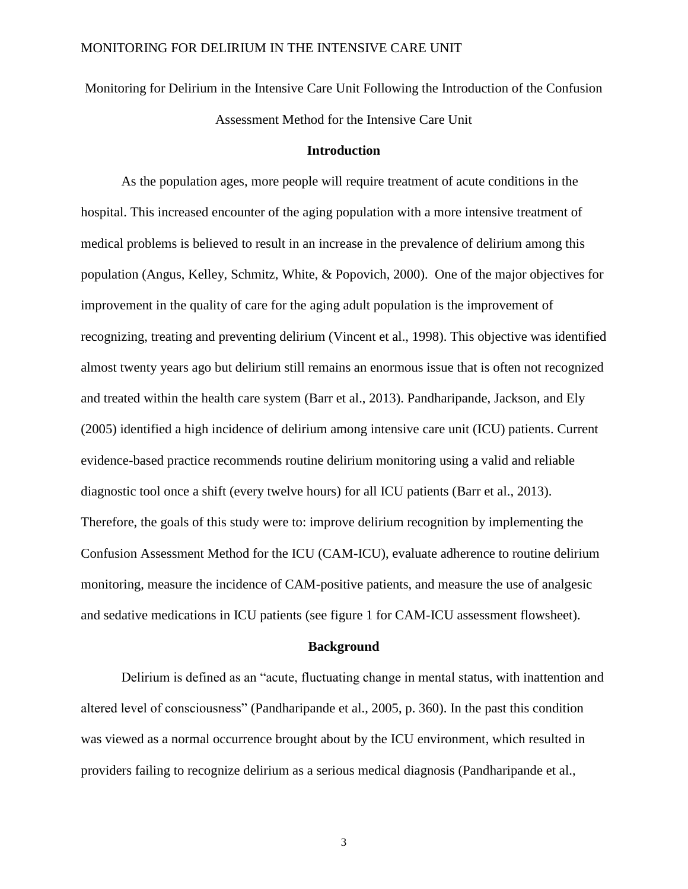Monitoring for Delirium in the Intensive Care Unit Following the Introduction of the Confusion Assessment Method for the Intensive Care Unit

### **Introduction**

As the population ages, more people will require treatment of acute conditions in the hospital. This increased encounter of the aging population with a more intensive treatment of medical problems is believed to result in an increase in the prevalence of delirium among this population (Angus, Kelley, Schmitz, White, & Popovich, 2000). One of the major objectives for improvement in the quality of care for the aging adult population is the improvement of recognizing, treating and preventing delirium (Vincent et al., 1998). This objective was identified almost twenty years ago but delirium still remains an enormous issue that is often not recognized and treated within the health care system (Barr et al., 2013). Pandharipande, Jackson, and Ely (2005) identified a high incidence of delirium among intensive care unit (ICU) patients. Current evidence-based practice recommends routine delirium monitoring using a valid and reliable diagnostic tool once a shift (every twelve hours) for all ICU patients (Barr et al., 2013). Therefore, the goals of this study were to: improve delirium recognition by implementing the Confusion Assessment Method for the ICU (CAM-ICU), evaluate adherence to routine delirium monitoring, measure the incidence of CAM-positive patients, and measure the use of analgesic and sedative medications in ICU patients (see figure 1 for CAM-ICU assessment flowsheet).

#### **Background**

Delirium is defined as an "acute, fluctuating change in mental status, with inattention and altered level of consciousness" (Pandharipande et al., 2005, p. 360). In the past this condition was viewed as a normal occurrence brought about by the ICU environment, which resulted in providers failing to recognize delirium as a serious medical diagnosis (Pandharipande et al.,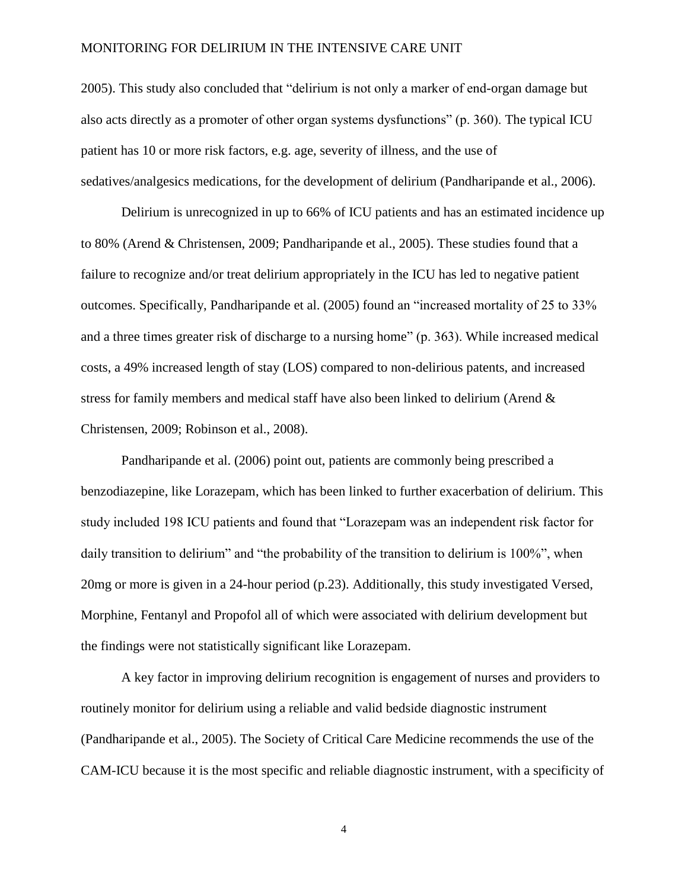2005). This study also concluded that "delirium is not only a marker of end-organ damage but also acts directly as a promoter of other organ systems dysfunctions" (p. 360). The typical ICU patient has 10 or more risk factors, e.g. age, severity of illness, and the use of sedatives/analgesics medications, for the development of delirium (Pandharipande et al., 2006).

Delirium is unrecognized in up to 66% of ICU patients and has an estimated incidence up to 80% (Arend & Christensen, 2009; Pandharipande et al., 2005). These studies found that a failure to recognize and/or treat delirium appropriately in the ICU has led to negative patient outcomes. Specifically, Pandharipande et al. (2005) found an "increased mortality of 25 to 33% and a three times greater risk of discharge to a nursing home" (p. 363). While increased medical costs, a 49% increased length of stay (LOS) compared to non-delirious patents, and increased stress for family members and medical staff have also been linked to delirium (Arend & Christensen, 2009; Robinson et al., 2008).

Pandharipande et al. (2006) point out, patients are commonly being prescribed a benzodiazepine, like Lorazepam, which has been linked to further exacerbation of delirium. This study included 198 ICU patients and found that "Lorazepam was an independent risk factor for daily transition to delirium" and "the probability of the transition to delirium is 100%", when 20mg or more is given in a 24-hour period (p.23). Additionally, this study investigated Versed, Morphine, Fentanyl and Propofol all of which were associated with delirium development but the findings were not statistically significant like Lorazepam.

A key factor in improving delirium recognition is engagement of nurses and providers to routinely monitor for delirium using a reliable and valid bedside diagnostic instrument (Pandharipande et al., 2005). The Society of Critical Care Medicine recommends the use of the CAM-ICU because it is the most specific and reliable diagnostic instrument, with a specificity of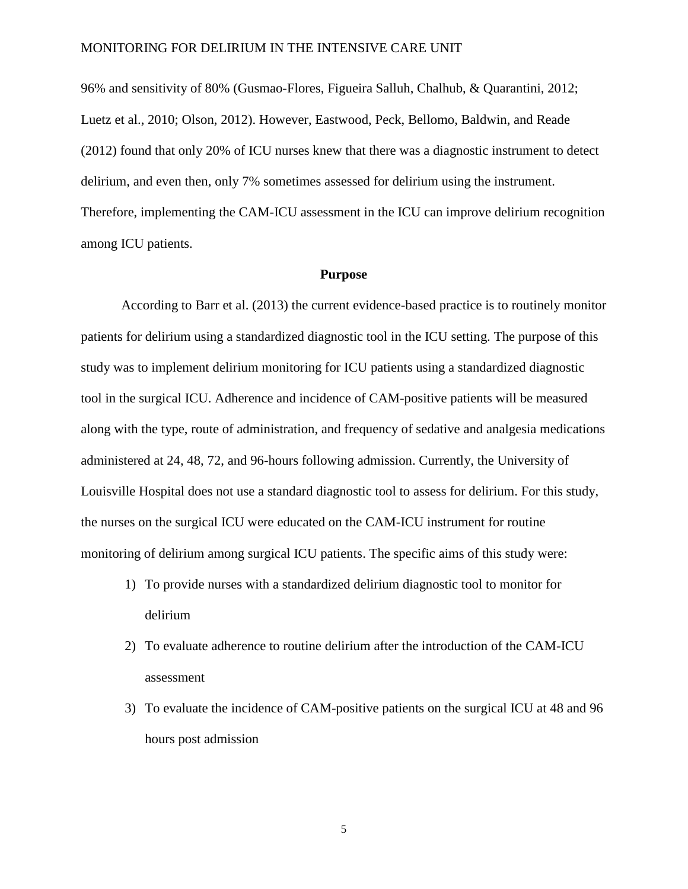96% and sensitivity of 80% (Gusmao-Flores, Figueira Salluh, Chalhub, & Quarantini, 2012; Luetz et al., 2010; Olson, 2012). However, Eastwood, Peck, Bellomo, Baldwin, and Reade (2012) found that only 20% of ICU nurses knew that there was a diagnostic instrument to detect delirium, and even then, only 7% sometimes assessed for delirium using the instrument. Therefore, implementing the CAM-ICU assessment in the ICU can improve delirium recognition among ICU patients.

#### **Purpose**

According to Barr et al. (2013) the current evidence-based practice is to routinely monitor patients for delirium using a standardized diagnostic tool in the ICU setting. The purpose of this study was to implement delirium monitoring for ICU patients using a standardized diagnostic tool in the surgical ICU. Adherence and incidence of CAM-positive patients will be measured along with the type, route of administration, and frequency of sedative and analgesia medications administered at 24, 48, 72, and 96-hours following admission. Currently, the University of Louisville Hospital does not use a standard diagnostic tool to assess for delirium. For this study, the nurses on the surgical ICU were educated on the CAM-ICU instrument for routine monitoring of delirium among surgical ICU patients. The specific aims of this study were:

- 1) To provide nurses with a standardized delirium diagnostic tool to monitor for delirium
- 2) To evaluate adherence to routine delirium after the introduction of the CAM-ICU assessment
- 3) To evaluate the incidence of CAM-positive patients on the surgical ICU at 48 and 96 hours post admission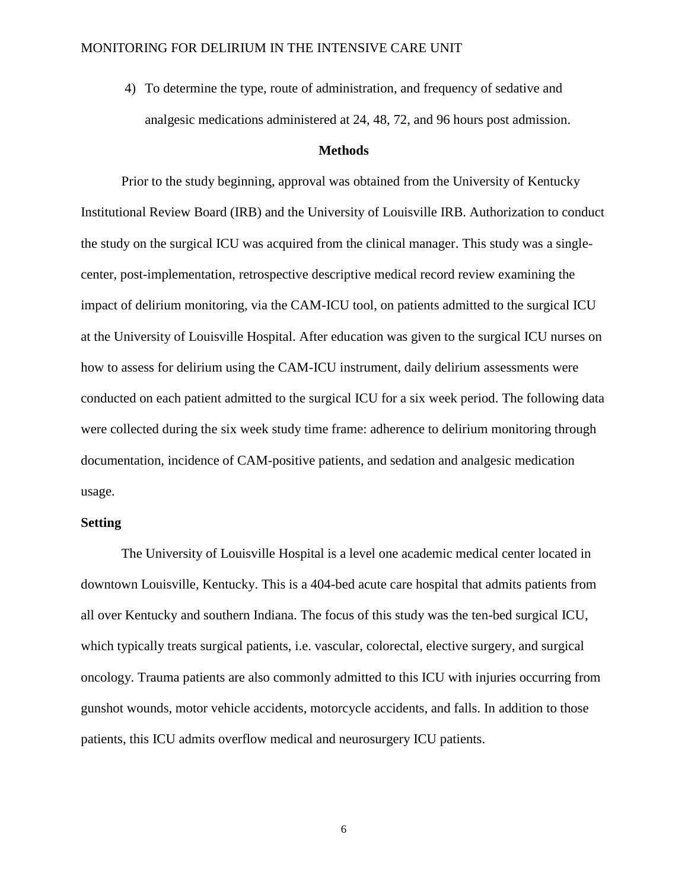4) To determine the type, route of administration, and frequency of sedative and analgesic medications administered at 24, 48, 72, and 96 hours post admission.

### **Methods**

Prior to the study beginning, approval was obtained from the University of Kentucky Institutional Review Board (IRB) and the University of Louisville IRB. Authorization to conduct the study on the surgical ICU was acquired from the clinical manager. This study was a singlecenter, post-implementation, retrospective descriptive medical record review examining the impact of delirium monitoring, via the CAM-ICU tool, on patients admitted to the surgical ICU at the University of Louisville Hospital. After education was given to the surgical ICU nurses on how to assess for delirium using the CAM-ICU instrument, daily delirium assessments were conducted on each patient admitted to the surgical ICU for a six week period. The following data were collected during the six week study time frame: adherence to delirium monitoring through documentation, incidence of CAM-positive patients, and sedation and analgesic medication usage.

#### **Setting**

The University of Louisville Hospital is a level one academic medical center located in downtown Louisville, Kentucky. This is a 404-bed acute care hospital that admits patients from all over Kentucky and southern Indiana. The focus of this study was the ten-bed surgical ICU, which typically treats surgical patients, i.e. vascular, colorectal, elective surgery, and surgical oncology. Trauma patients are also commonly admitted to this ICU with injuries occurring from gunshot wounds, motor vehicle accidents, motorcycle accidents, and falls. In addition to those patients, this ICU admits overflow medical and neurosurgery ICU patients.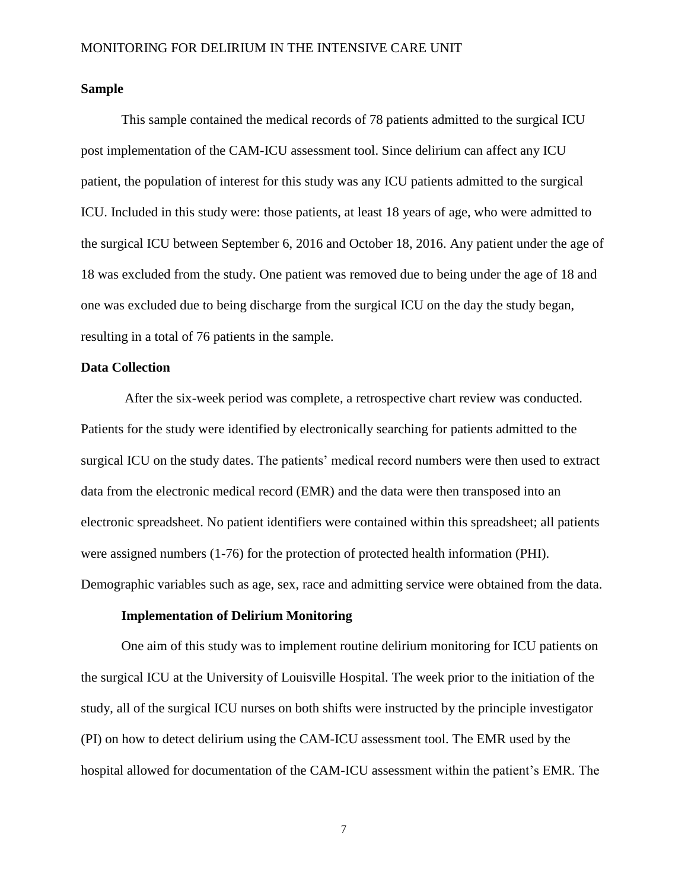#### **Sample**

This sample contained the medical records of 78 patients admitted to the surgical ICU post implementation of the CAM-ICU assessment tool. Since delirium can affect any ICU patient, the population of interest for this study was any ICU patients admitted to the surgical ICU. Included in this study were: those patients, at least 18 years of age, who were admitted to the surgical ICU between September 6, 2016 and October 18, 2016. Any patient under the age of 18 was excluded from the study. One patient was removed due to being under the age of 18 and one was excluded due to being discharge from the surgical ICU on the day the study began, resulting in a total of 76 patients in the sample.

#### **Data Collection**

After the six-week period was complete, a retrospective chart review was conducted. Patients for the study were identified by electronically searching for patients admitted to the surgical ICU on the study dates. The patients' medical record numbers were then used to extract data from the electronic medical record (EMR) and the data were then transposed into an electronic spreadsheet. No patient identifiers were contained within this spreadsheet; all patients were assigned numbers (1-76) for the protection of protected health information (PHI). Demographic variables such as age, sex, race and admitting service were obtained from the data.

#### **Implementation of Delirium Monitoring**

One aim of this study was to implement routine delirium monitoring for ICU patients on the surgical ICU at the University of Louisville Hospital. The week prior to the initiation of the study, all of the surgical ICU nurses on both shifts were instructed by the principle investigator (PI) on how to detect delirium using the CAM-ICU assessment tool. The EMR used by the hospital allowed for documentation of the CAM-ICU assessment within the patient's EMR. The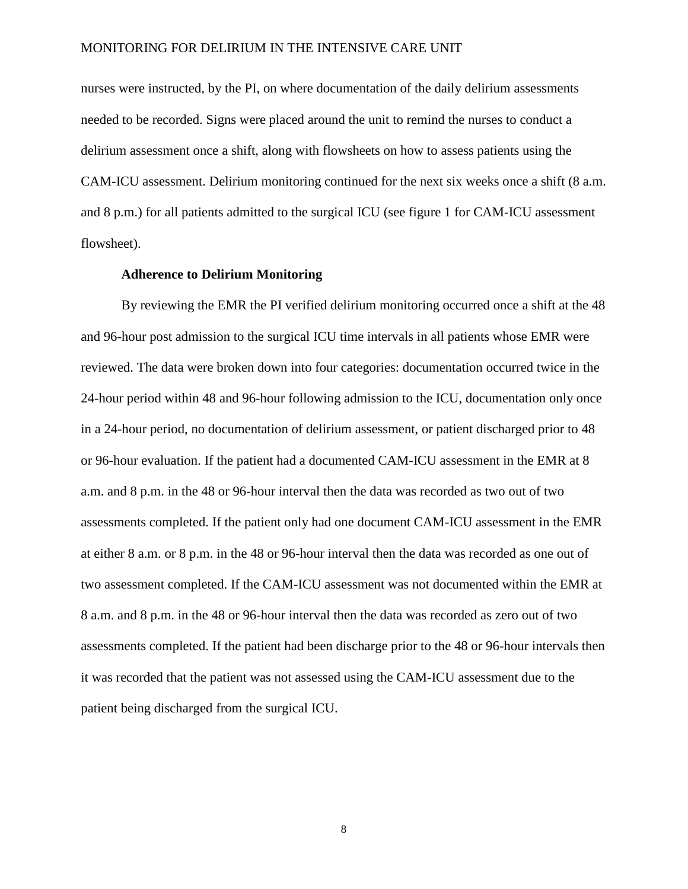nurses were instructed, by the PI, on where documentation of the daily delirium assessments needed to be recorded. Signs were placed around the unit to remind the nurses to conduct a delirium assessment once a shift, along with flowsheets on how to assess patients using the CAM-ICU assessment. Delirium monitoring continued for the next six weeks once a shift (8 a.m. and 8 p.m.) for all patients admitted to the surgical ICU (see figure 1 for CAM-ICU assessment flowsheet).

#### **Adherence to Delirium Monitoring**

By reviewing the EMR the PI verified delirium monitoring occurred once a shift at the 48 and 96-hour post admission to the surgical ICU time intervals in all patients whose EMR were reviewed. The data were broken down into four categories: documentation occurred twice in the 24-hour period within 48 and 96-hour following admission to the ICU, documentation only once in a 24-hour period, no documentation of delirium assessment, or patient discharged prior to 48 or 96-hour evaluation. If the patient had a documented CAM-ICU assessment in the EMR at 8 a.m. and 8 p.m. in the 48 or 96-hour interval then the data was recorded as two out of two assessments completed. If the patient only had one document CAM-ICU assessment in the EMR at either 8 a.m. or 8 p.m. in the 48 or 96-hour interval then the data was recorded as one out of two assessment completed. If the CAM-ICU assessment was not documented within the EMR at 8 a.m. and 8 p.m. in the 48 or 96-hour interval then the data was recorded as zero out of two assessments completed. If the patient had been discharge prior to the 48 or 96-hour intervals then it was recorded that the patient was not assessed using the CAM-ICU assessment due to the patient being discharged from the surgical ICU.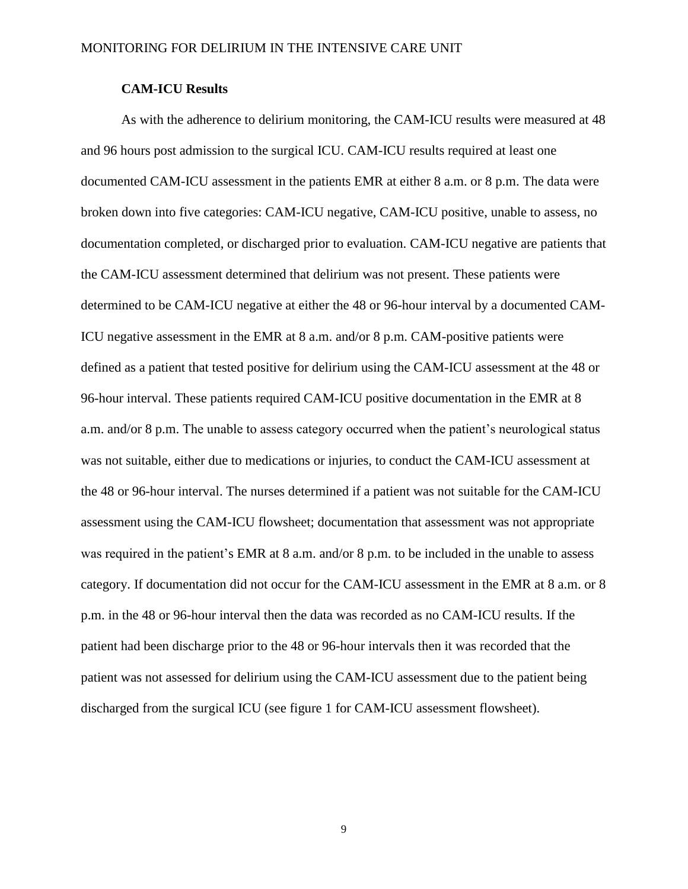### **CAM-ICU Results**

As with the adherence to delirium monitoring, the CAM-ICU results were measured at 48 and 96 hours post admission to the surgical ICU. CAM-ICU results required at least one documented CAM-ICU assessment in the patients EMR at either 8 a.m. or 8 p.m. The data were broken down into five categories: CAM-ICU negative, CAM-ICU positive, unable to assess, no documentation completed, or discharged prior to evaluation. CAM-ICU negative are patients that the CAM-ICU assessment determined that delirium was not present. These patients were determined to be CAM-ICU negative at either the 48 or 96-hour interval by a documented CAM-ICU negative assessment in the EMR at 8 a.m. and/or 8 p.m. CAM-positive patients were defined as a patient that tested positive for delirium using the CAM-ICU assessment at the 48 or 96-hour interval. These patients required CAM-ICU positive documentation in the EMR at 8 a.m. and/or 8 p.m. The unable to assess category occurred when the patient's neurological status was not suitable, either due to medications or injuries, to conduct the CAM-ICU assessment at the 48 or 96-hour interval. The nurses determined if a patient was not suitable for the CAM-ICU assessment using the CAM-ICU flowsheet; documentation that assessment was not appropriate was required in the patient's EMR at 8 a.m. and/or 8 p.m. to be included in the unable to assess category. If documentation did not occur for the CAM-ICU assessment in the EMR at 8 a.m. or 8 p.m. in the 48 or 96-hour interval then the data was recorded as no CAM-ICU results. If the patient had been discharge prior to the 48 or 96-hour intervals then it was recorded that the patient was not assessed for delirium using the CAM-ICU assessment due to the patient being discharged from the surgical ICU (see figure 1 for CAM-ICU assessment flowsheet).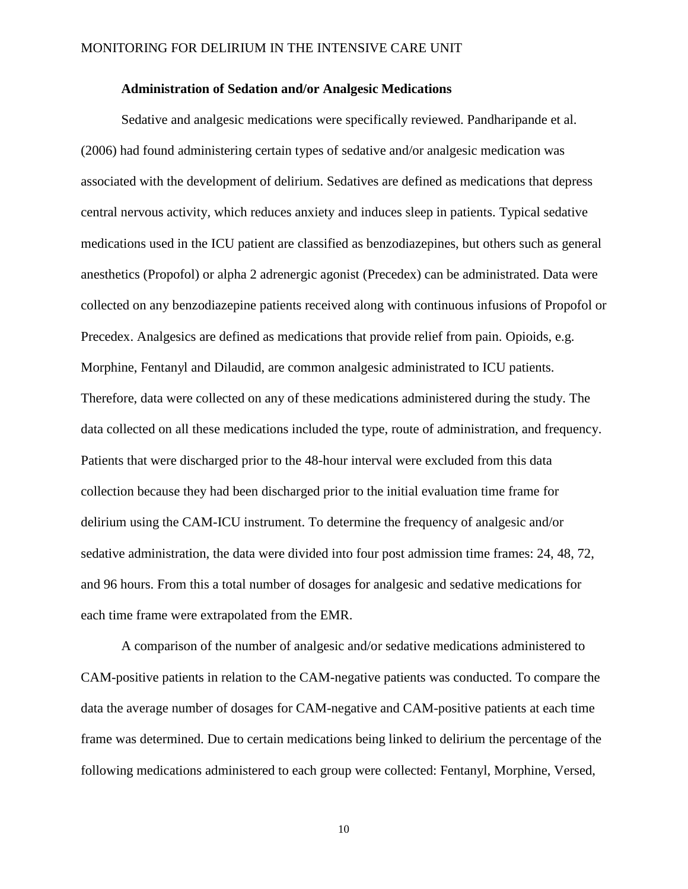#### **Administration of Sedation and/or Analgesic Medications**

Sedative and analgesic medications were specifically reviewed. Pandharipande et al. (2006) had found administering certain types of sedative and/or analgesic medication was associated with the development of delirium. Sedatives are defined as medications that depress central nervous activity, which reduces anxiety and induces sleep in patients. Typical sedative medications used in the ICU patient are classified as benzodiazepines, but others such as general anesthetics (Propofol) or alpha 2 adrenergic agonist (Precedex) can be administrated. Data were collected on any benzodiazepine patients received along with continuous infusions of Propofol or Precedex. Analgesics are defined as medications that provide relief from pain. Opioids, e.g. Morphine, Fentanyl and Dilaudid, are common analgesic administrated to ICU patients. Therefore, data were collected on any of these medications administered during the study. The data collected on all these medications included the type, route of administration, and frequency. Patients that were discharged prior to the 48-hour interval were excluded from this data collection because they had been discharged prior to the initial evaluation time frame for delirium using the CAM-ICU instrument. To determine the frequency of analgesic and/or sedative administration, the data were divided into four post admission time frames: 24, 48, 72, and 96 hours. From this a total number of dosages for analgesic and sedative medications for each time frame were extrapolated from the EMR.

A comparison of the number of analgesic and/or sedative medications administered to CAM-positive patients in relation to the CAM-negative patients was conducted. To compare the data the average number of dosages for CAM-negative and CAM-positive patients at each time frame was determined. Due to certain medications being linked to delirium the percentage of the following medications administered to each group were collected: Fentanyl, Morphine, Versed,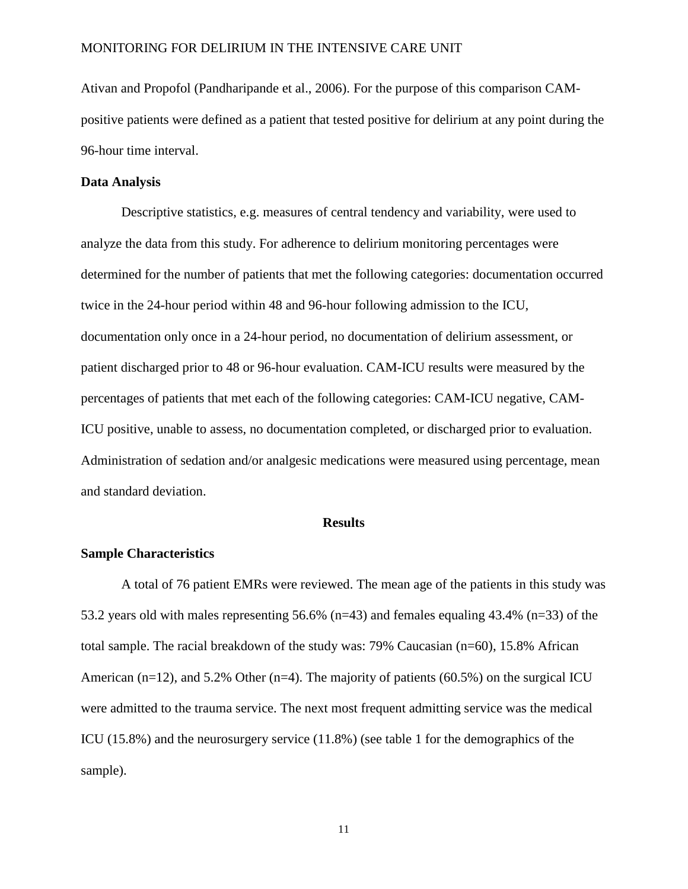Ativan and Propofol (Pandharipande et al., 2006). For the purpose of this comparison CAMpositive patients were defined as a patient that tested positive for delirium at any point during the 96-hour time interval.

#### **Data Analysis**

Descriptive statistics, e.g. measures of central tendency and variability, were used to analyze the data from this study. For adherence to delirium monitoring percentages were determined for the number of patients that met the following categories: documentation occurred twice in the 24-hour period within 48 and 96-hour following admission to the ICU, documentation only once in a 24-hour period, no documentation of delirium assessment, or patient discharged prior to 48 or 96-hour evaluation. CAM-ICU results were measured by the percentages of patients that met each of the following categories: CAM-ICU negative, CAM-ICU positive, unable to assess, no documentation completed, or discharged prior to evaluation. Administration of sedation and/or analgesic medications were measured using percentage, mean and standard deviation.

#### **Results**

### **Sample Characteristics**

A total of 76 patient EMRs were reviewed. The mean age of the patients in this study was 53.2 years old with males representing 56.6% (n=43) and females equaling 43.4% (n=33) of the total sample. The racial breakdown of the study was: 79% Caucasian (n=60), 15.8% African American (n=12), and 5.2% Other (n=4). The majority of patients (60.5%) on the surgical ICU were admitted to the trauma service. The next most frequent admitting service was the medical ICU (15.8%) and the neurosurgery service (11.8%) (see table 1 for the demographics of the sample).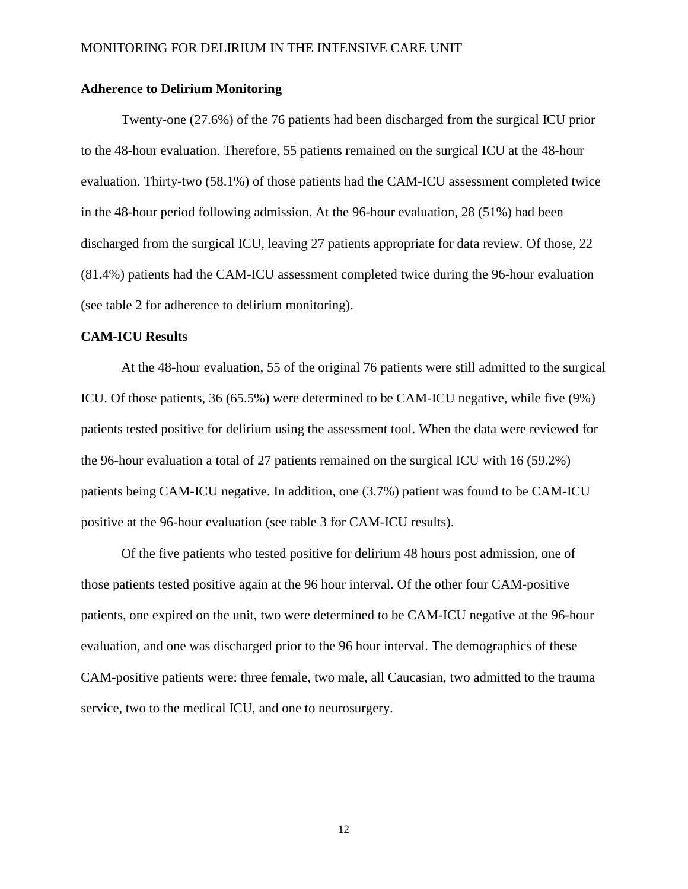### **Adherence to Delirium Monitoring**

Twenty-one (27.6%) of the 76 patients had been discharged from the surgical ICU prior to the 48-hour evaluation. Therefore, 55 patients remained on the surgical ICU at the 48-hour evaluation. Thirty-two (58.1%) of those patients had the CAM-ICU assessment completed twice in the 48-hour period following admission. At the 96-hour evaluation, 28 (51%) had been discharged from the surgical ICU, leaving 27 patients appropriate for data review. Of those, 22 (81.4%) patients had the CAM-ICU assessment completed twice during the 96-hour evaluation (see table 2 for adherence to delirium monitoring).

### **CAM-ICU Results**

At the 48-hour evaluation, 55 of the original 76 patients were still admitted to the surgical ICU. Of those patients, 36 (65.5%) were determined to be CAM-ICU negative, while five (9%) patients tested positive for delirium using the assessment tool. When the data were reviewed for the 96-hour evaluation a total of 27 patients remained on the surgical ICU with 16 (59.2%) patients being CAM-ICU negative. In addition, one (3.7%) patient was found to be CAM-ICU positive at the 96-hour evaluation (see table 3 for CAM-ICU results).

Of the five patients who tested positive for delirium 48 hours post admission, one of those patients tested positive again at the 96 hour interval. Of the other four CAM-positive patients, one expired on the unit, two were determined to be CAM-ICU negative at the 96-hour evaluation, and one was discharged prior to the 96 hour interval. The demographics of these CAM-positive patients were: three female, two male, all Caucasian, two admitted to the trauma service, two to the medical ICU, and one to neurosurgery.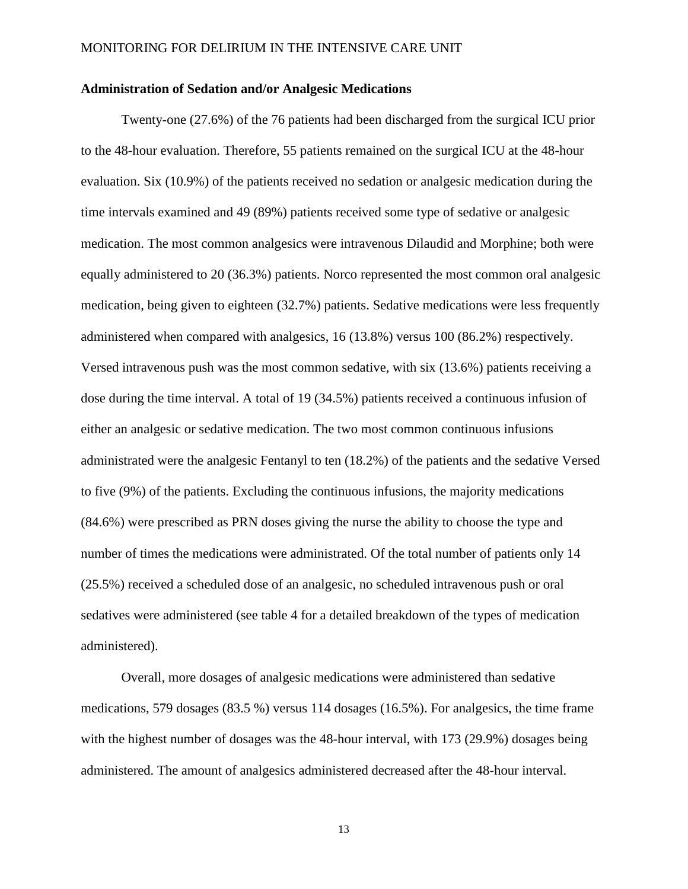#### **Administration of Sedation and/or Analgesic Medications**

Twenty-one (27.6%) of the 76 patients had been discharged from the surgical ICU prior to the 48-hour evaluation. Therefore, 55 patients remained on the surgical ICU at the 48-hour evaluation. Six (10.9%) of the patients received no sedation or analgesic medication during the time intervals examined and 49 (89%) patients received some type of sedative or analgesic medication. The most common analgesics were intravenous Dilaudid and Morphine; both were equally administered to 20 (36.3%) patients. Norco represented the most common oral analgesic medication, being given to eighteen (32.7%) patients. Sedative medications were less frequently administered when compared with analgesics, 16 (13.8%) versus 100 (86.2%) respectively. Versed intravenous push was the most common sedative, with six (13.6%) patients receiving a dose during the time interval. A total of 19 (34.5%) patients received a continuous infusion of either an analgesic or sedative medication. The two most common continuous infusions administrated were the analgesic Fentanyl to ten (18.2%) of the patients and the sedative Versed to five (9%) of the patients. Excluding the continuous infusions, the majority medications (84.6%) were prescribed as PRN doses giving the nurse the ability to choose the type and number of times the medications were administrated. Of the total number of patients only 14 (25.5%) received a scheduled dose of an analgesic, no scheduled intravenous push or oral sedatives were administered (see table 4 for a detailed breakdown of the types of medication administered).

Overall, more dosages of analgesic medications were administered than sedative medications, 579 dosages (83.5 %) versus 114 dosages (16.5%). For analgesics, the time frame with the highest number of dosages was the 48-hour interval, with 173 (29.9%) dosages being administered. The amount of analgesics administered decreased after the 48-hour interval.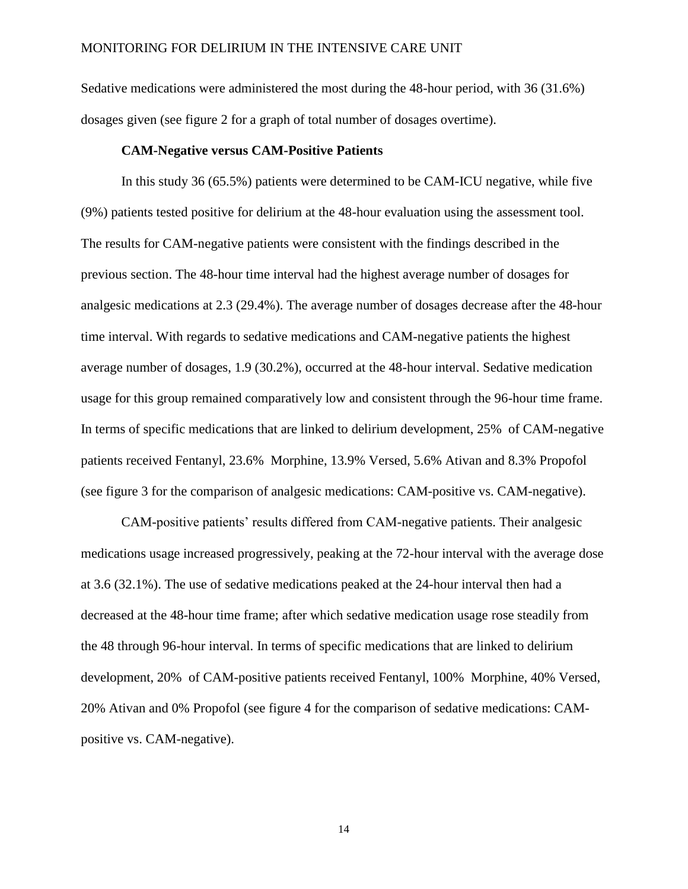Sedative medications were administered the most during the 48-hour period, with 36 (31.6%) dosages given (see figure 2 for a graph of total number of dosages overtime).

#### **CAM-Negative versus CAM-Positive Patients**

In this study 36 (65.5%) patients were determined to be CAM-ICU negative, while five (9%) patients tested positive for delirium at the 48-hour evaluation using the assessment tool. The results for CAM-negative patients were consistent with the findings described in the previous section. The 48-hour time interval had the highest average number of dosages for analgesic medications at 2.3 (29.4%). The average number of dosages decrease after the 48-hour time interval. With regards to sedative medications and CAM-negative patients the highest average number of dosages, 1.9 (30.2%), occurred at the 48-hour interval. Sedative medication usage for this group remained comparatively low and consistent through the 96-hour time frame. In terms of specific medications that are linked to delirium development, 25% of CAM-negative patients received Fentanyl, 23.6% Morphine, 13.9% Versed, 5.6% Ativan and 8.3% Propofol (see figure 3 for the comparison of analgesic medications: CAM-positive vs. CAM-negative).

CAM-positive patients' results differed from CAM-negative patients. Their analgesic medications usage increased progressively, peaking at the 72-hour interval with the average dose at 3.6 (32.1%). The use of sedative medications peaked at the 24-hour interval then had a decreased at the 48-hour time frame; after which sedative medication usage rose steadily from the 48 through 96-hour interval. In terms of specific medications that are linked to delirium development, 20% of CAM-positive patients received Fentanyl, 100% Morphine, 40% Versed, 20% Ativan and 0% Propofol (see figure 4 for the comparison of sedative medications: CAMpositive vs. CAM-negative).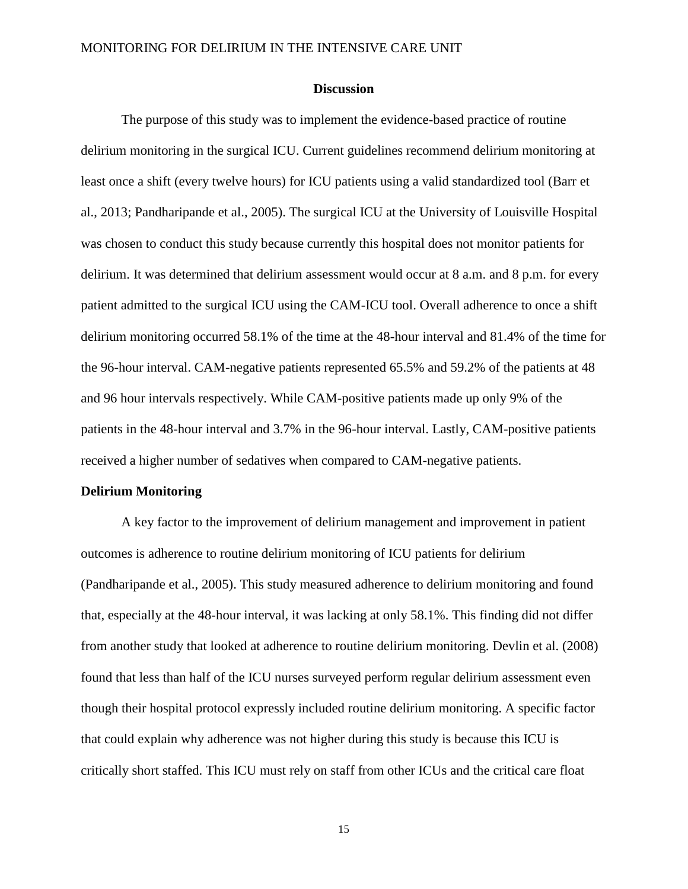#### **Discussion**

The purpose of this study was to implement the evidence-based practice of routine delirium monitoring in the surgical ICU. Current guidelines recommend delirium monitoring at least once a shift (every twelve hours) for ICU patients using a valid standardized tool (Barr et al., 2013; Pandharipande et al., 2005). The surgical ICU at the University of Louisville Hospital was chosen to conduct this study because currently this hospital does not monitor patients for delirium. It was determined that delirium assessment would occur at 8 a.m. and 8 p.m. for every patient admitted to the surgical ICU using the CAM-ICU tool. Overall adherence to once a shift delirium monitoring occurred 58.1% of the time at the 48-hour interval and 81.4% of the time for the 96-hour interval. CAM-negative patients represented 65.5% and 59.2% of the patients at 48 and 96 hour intervals respectively. While CAM-positive patients made up only 9% of the patients in the 48-hour interval and 3.7% in the 96-hour interval. Lastly, CAM-positive patients received a higher number of sedatives when compared to CAM-negative patients.

#### **Delirium Monitoring**

A key factor to the improvement of delirium management and improvement in patient outcomes is adherence to routine delirium monitoring of ICU patients for delirium (Pandharipande et al., 2005). This study measured adherence to delirium monitoring and found that, especially at the 48-hour interval, it was lacking at only 58.1%. This finding did not differ from another study that looked at adherence to routine delirium monitoring. Devlin et al. (2008) found that less than half of the ICU nurses surveyed perform regular delirium assessment even though their hospital protocol expressly included routine delirium monitoring. A specific factor that could explain why adherence was not higher during this study is because this ICU is critically short staffed. This ICU must rely on staff from other ICUs and the critical care float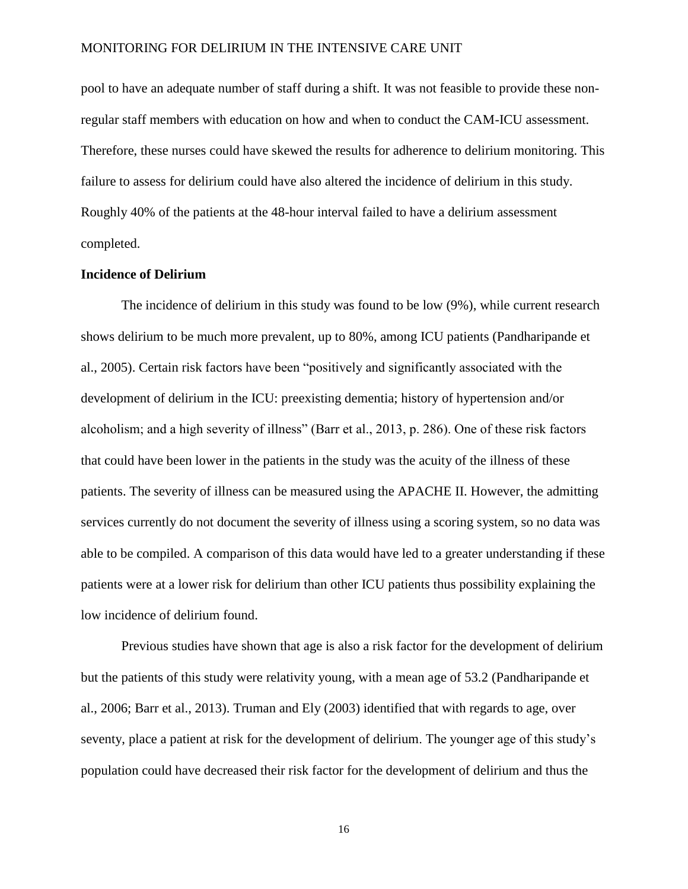pool to have an adequate number of staff during a shift. It was not feasible to provide these nonregular staff members with education on how and when to conduct the CAM-ICU assessment. Therefore, these nurses could have skewed the results for adherence to delirium monitoring. This failure to assess for delirium could have also altered the incidence of delirium in this study. Roughly 40% of the patients at the 48-hour interval failed to have a delirium assessment completed.

### **Incidence of Delirium**

The incidence of delirium in this study was found to be low (9%), while current research shows delirium to be much more prevalent, up to 80%, among ICU patients (Pandharipande et al., 2005). Certain risk factors have been "positively and significantly associated with the development of delirium in the ICU: preexisting dementia; history of hypertension and/or alcoholism; and a high severity of illness" (Barr et al., 2013, p. 286). One of these risk factors that could have been lower in the patients in the study was the acuity of the illness of these patients. The severity of illness can be measured using the APACHE II. However, the admitting services currently do not document the severity of illness using a scoring system, so no data was able to be compiled. A comparison of this data would have led to a greater understanding if these patients were at a lower risk for delirium than other ICU patients thus possibility explaining the low incidence of delirium found.

Previous studies have shown that age is also a risk factor for the development of delirium but the patients of this study were relativity young, with a mean age of 53.2 (Pandharipande et al., 2006; Barr et al., 2013). Truman and Ely (2003) identified that with regards to age, over seventy, place a patient at risk for the development of delirium. The younger age of this study's population could have decreased their risk factor for the development of delirium and thus the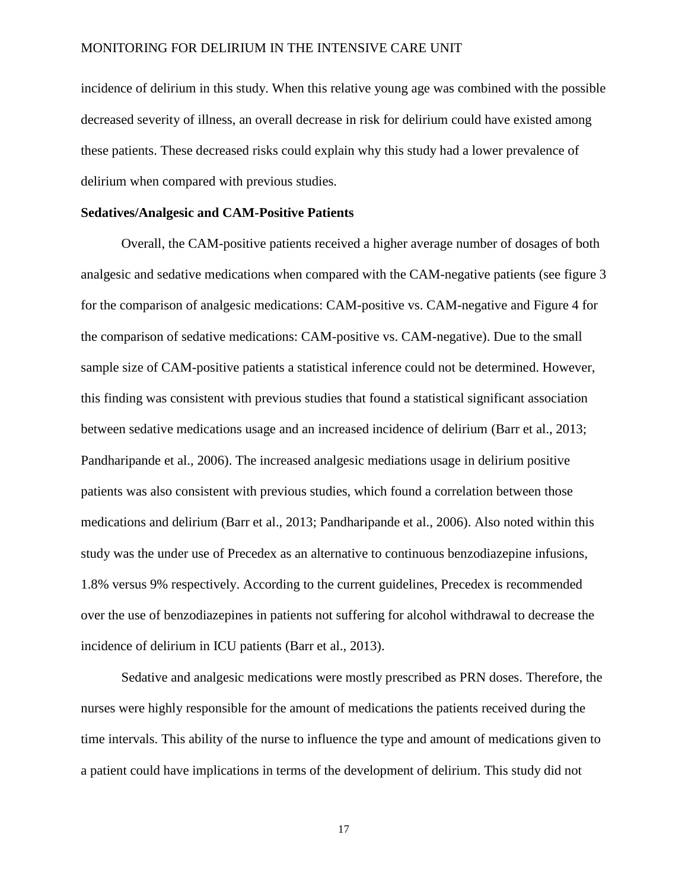incidence of delirium in this study. When this relative young age was combined with the possible decreased severity of illness, an overall decrease in risk for delirium could have existed among these patients. These decreased risks could explain why this study had a lower prevalence of delirium when compared with previous studies.

### **Sedatives/Analgesic and CAM-Positive Patients**

Overall, the CAM-positive patients received a higher average number of dosages of both analgesic and sedative medications when compared with the CAM-negative patients (see figure 3 for the comparison of analgesic medications: CAM-positive vs. CAM-negative and Figure 4 for the comparison of sedative medications: CAM-positive vs. CAM-negative). Due to the small sample size of CAM-positive patients a statistical inference could not be determined. However, this finding was consistent with previous studies that found a statistical significant association between sedative medications usage and an increased incidence of delirium (Barr et al., 2013; Pandharipande et al., 2006). The increased analgesic mediations usage in delirium positive patients was also consistent with previous studies, which found a correlation between those medications and delirium (Barr et al., 2013; Pandharipande et al., 2006). Also noted within this study was the under use of Precedex as an alternative to continuous benzodiazepine infusions, 1.8% versus 9% respectively. According to the current guidelines, Precedex is recommended over the use of benzodiazepines in patients not suffering for alcohol withdrawal to decrease the incidence of delirium in ICU patients (Barr et al., 2013).

Sedative and analgesic medications were mostly prescribed as PRN doses. Therefore, the nurses were highly responsible for the amount of medications the patients received during the time intervals. This ability of the nurse to influence the type and amount of medications given to a patient could have implications in terms of the development of delirium. This study did not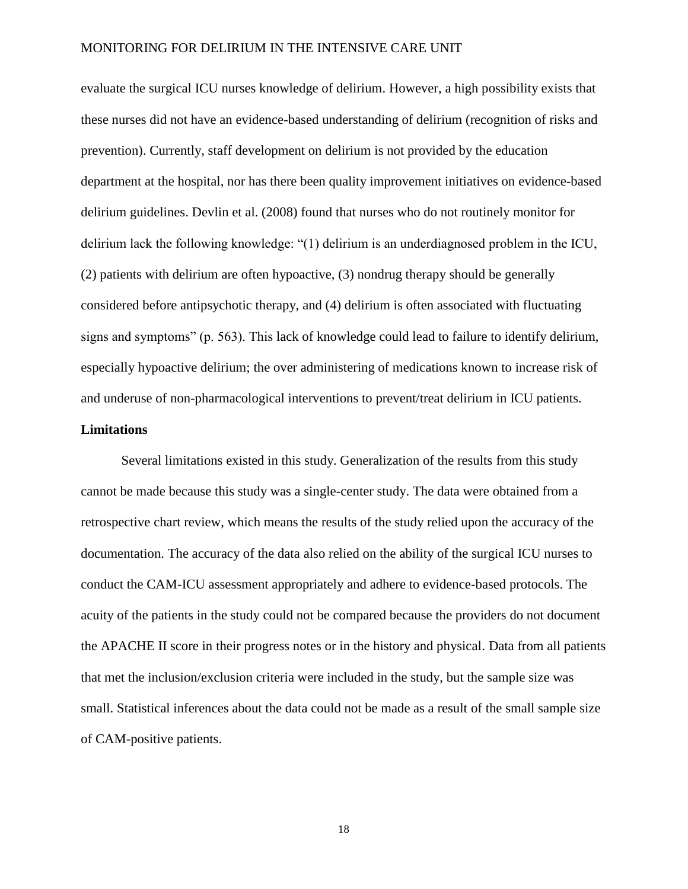evaluate the surgical ICU nurses knowledge of delirium. However, a high possibility exists that these nurses did not have an evidence-based understanding of delirium (recognition of risks and prevention). Currently, staff development on delirium is not provided by the education department at the hospital, nor has there been quality improvement initiatives on evidence-based delirium guidelines. Devlin et al. (2008) found that nurses who do not routinely monitor for delirium lack the following knowledge: "(1) delirium is an underdiagnosed problem in the ICU, (2) patients with delirium are often hypoactive, (3) nondrug therapy should be generally considered before antipsychotic therapy, and (4) delirium is often associated with fluctuating signs and symptoms" (p. 563). This lack of knowledge could lead to failure to identify delirium, especially hypoactive delirium; the over administering of medications known to increase risk of and underuse of non-pharmacological interventions to prevent/treat delirium in ICU patients.

#### **Limitations**

Several limitations existed in this study. Generalization of the results from this study cannot be made because this study was a single-center study. The data were obtained from a retrospective chart review, which means the results of the study relied upon the accuracy of the documentation. The accuracy of the data also relied on the ability of the surgical ICU nurses to conduct the CAM-ICU assessment appropriately and adhere to evidence-based protocols. The acuity of the patients in the study could not be compared because the providers do not document the APACHE II score in their progress notes or in the history and physical. Data from all patients that met the inclusion/exclusion criteria were included in the study, but the sample size was small. Statistical inferences about the data could not be made as a result of the small sample size of CAM-positive patients.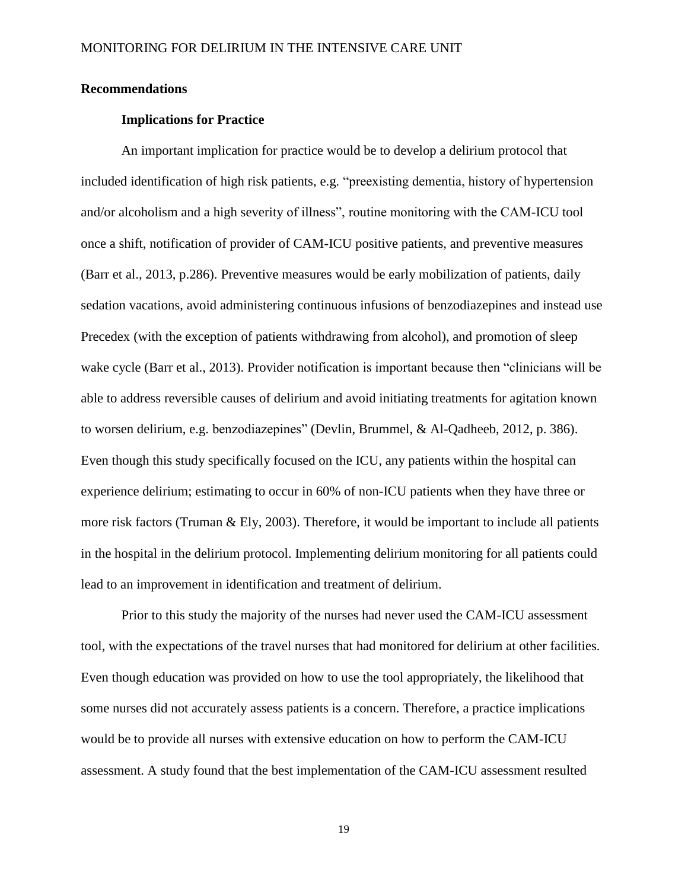#### **Recommendations**

### **Implications for Practice**

An important implication for practice would be to develop a delirium protocol that included identification of high risk patients, e.g. "preexisting dementia, history of hypertension and/or alcoholism and a high severity of illness", routine monitoring with the CAM-ICU tool once a shift, notification of provider of CAM-ICU positive patients, and preventive measures (Barr et al., 2013, p.286). Preventive measures would be early mobilization of patients, daily sedation vacations, avoid administering continuous infusions of benzodiazepines and instead use Precedex (with the exception of patients withdrawing from alcohol), and promotion of sleep wake cycle (Barr et al., 2013). Provider notification is important because then "clinicians will be able to address reversible causes of delirium and avoid initiating treatments for agitation known to worsen delirium, e.g. benzodiazepines" (Devlin, Brummel, & Al-Qadheeb, 2012, p. 386). Even though this study specifically focused on the ICU, any patients within the hospital can experience delirium; estimating to occur in 60% of non-ICU patients when they have three or more risk factors (Truman & Ely, 2003). Therefore, it would be important to include all patients in the hospital in the delirium protocol. Implementing delirium monitoring for all patients could lead to an improvement in identification and treatment of delirium.

Prior to this study the majority of the nurses had never used the CAM-ICU assessment tool, with the expectations of the travel nurses that had monitored for delirium at other facilities. Even though education was provided on how to use the tool appropriately, the likelihood that some nurses did not accurately assess patients is a concern. Therefore, a practice implications would be to provide all nurses with extensive education on how to perform the CAM-ICU assessment. A study found that the best implementation of the CAM-ICU assessment resulted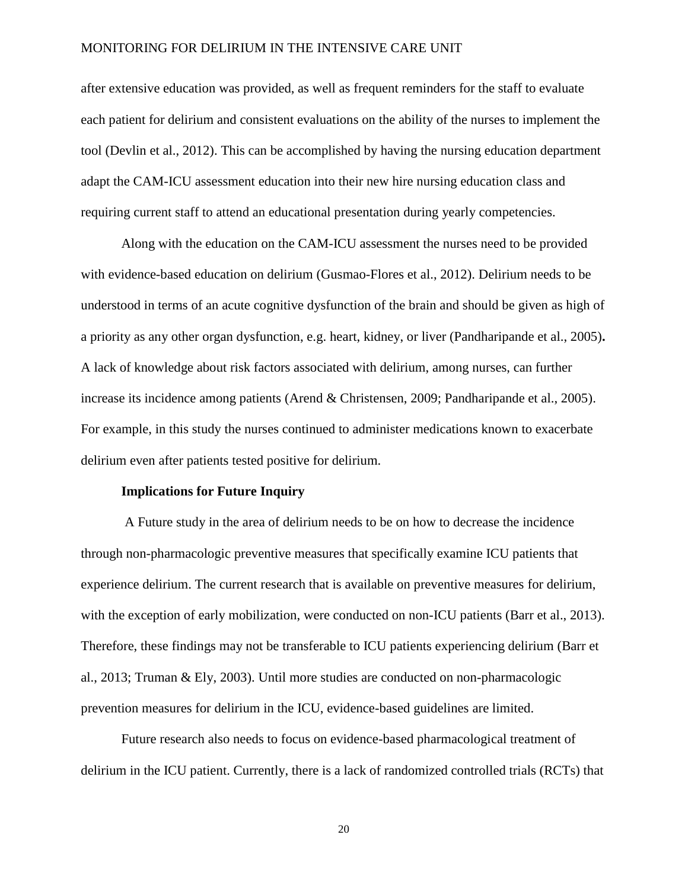after extensive education was provided, as well as frequent reminders for the staff to evaluate each patient for delirium and consistent evaluations on the ability of the nurses to implement the tool (Devlin et al., 2012). This can be accomplished by having the nursing education department adapt the CAM-ICU assessment education into their new hire nursing education class and requiring current staff to attend an educational presentation during yearly competencies.

Along with the education on the CAM-ICU assessment the nurses need to be provided with evidence-based education on delirium (Gusmao-Flores et al., 2012). Delirium needs to be understood in terms of an acute cognitive dysfunction of the brain and should be given as high of a priority as any other organ dysfunction, e.g. heart, kidney, or liver (Pandharipande et al., 2005)**.**  A lack of knowledge about risk factors associated with delirium, among nurses, can further increase its incidence among patients (Arend & Christensen, 2009; Pandharipande et al., 2005). For example, in this study the nurses continued to administer medications known to exacerbate delirium even after patients tested positive for delirium.

#### **Implications for Future Inquiry**

A Future study in the area of delirium needs to be on how to decrease the incidence through non-pharmacologic preventive measures that specifically examine ICU patients that experience delirium. The current research that is available on preventive measures for delirium, with the exception of early mobilization, were conducted on non-ICU patients (Barr et al., 2013). Therefore, these findings may not be transferable to ICU patients experiencing delirium (Barr et al., 2013; Truman & Ely, 2003). Until more studies are conducted on non-pharmacologic prevention measures for delirium in the ICU, evidence-based guidelines are limited.

Future research also needs to focus on evidence-based pharmacological treatment of delirium in the ICU patient. Currently, there is a lack of randomized controlled trials (RCTs) that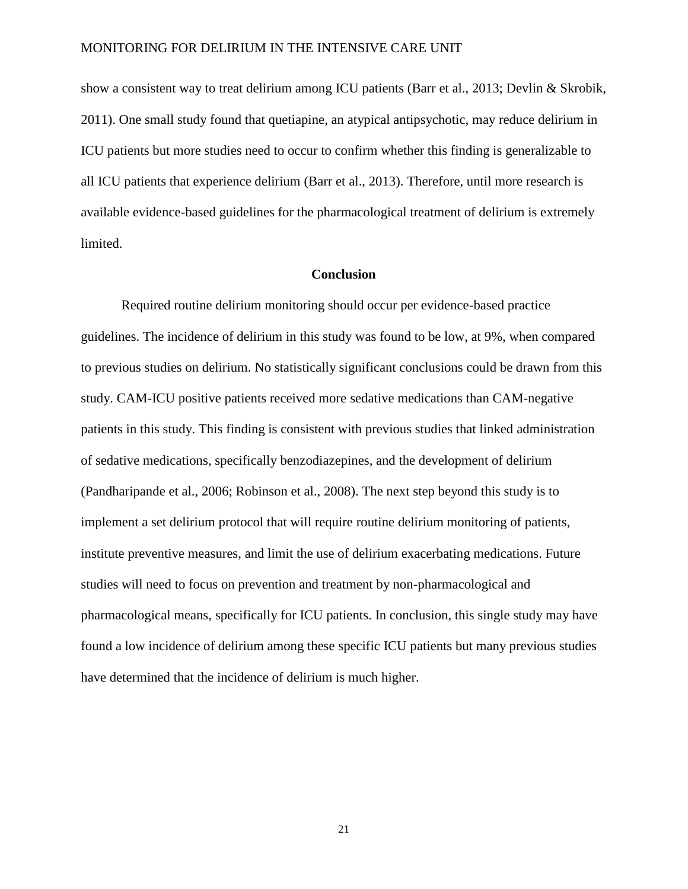show a consistent way to treat delirium among ICU patients (Barr et al., 2013; Devlin & Skrobik, 2011). One small study found that quetiapine, an atypical antipsychotic, may reduce delirium in ICU patients but more studies need to occur to confirm whether this finding is generalizable to all ICU patients that experience delirium (Barr et al., 2013). Therefore, until more research is available evidence-based guidelines for the pharmacological treatment of delirium is extremely limited.

### **Conclusion**

Required routine delirium monitoring should occur per evidence-based practice guidelines. The incidence of delirium in this study was found to be low, at 9%, when compared to previous studies on delirium. No statistically significant conclusions could be drawn from this study. CAM-ICU positive patients received more sedative medications than CAM-negative patients in this study. This finding is consistent with previous studies that linked administration of sedative medications, specifically benzodiazepines, and the development of delirium (Pandharipande et al., 2006; Robinson et al., 2008). The next step beyond this study is to implement a set delirium protocol that will require routine delirium monitoring of patients, institute preventive measures, and limit the use of delirium exacerbating medications. Future studies will need to focus on prevention and treatment by non-pharmacological and pharmacological means, specifically for ICU patients. In conclusion, this single study may have found a low incidence of delirium among these specific ICU patients but many previous studies have determined that the incidence of delirium is much higher.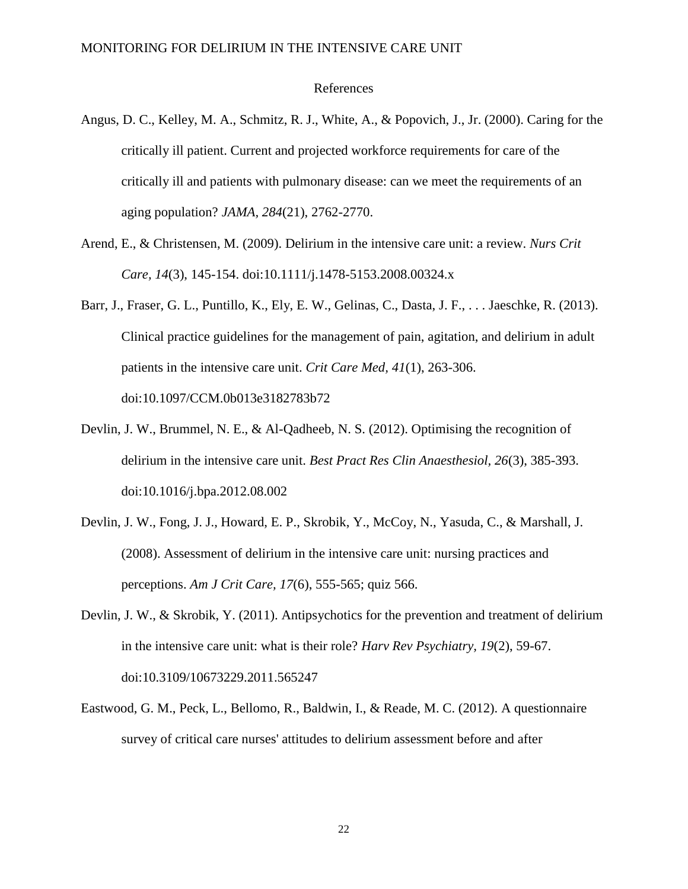#### References

- Angus, D. C., Kelley, M. A., Schmitz, R. J., White, A., & Popovich, J., Jr. (2000). Caring for the critically ill patient. Current and projected workforce requirements for care of the critically ill and patients with pulmonary disease: can we meet the requirements of an aging population? *JAMA, 284*(21), 2762-2770.
- Arend, E., & Christensen, M. (2009). Delirium in the intensive care unit: a review. *Nurs Crit Care, 14*(3), 145-154. doi:10.1111/j.1478-5153.2008.00324.x
- Barr, J., Fraser, G. L., Puntillo, K., Ely, E. W., Gelinas, C., Dasta, J. F., . . . Jaeschke, R. (2013). Clinical practice guidelines for the management of pain, agitation, and delirium in adult patients in the intensive care unit. *Crit Care Med, 41*(1), 263-306. doi:10.1097/CCM.0b013e3182783b72
- Devlin, J. W., Brummel, N. E., & Al-Qadheeb, N. S. (2012). Optimising the recognition of delirium in the intensive care unit. *Best Pract Res Clin Anaesthesiol, 26*(3), 385-393. doi:10.1016/j.bpa.2012.08.002
- Devlin, J. W., Fong, J. J., Howard, E. P., Skrobik, Y., McCoy, N., Yasuda, C., & Marshall, J. (2008). Assessment of delirium in the intensive care unit: nursing practices and perceptions. *Am J Crit Care, 17*(6), 555-565; quiz 566.
- Devlin, J. W., & Skrobik, Y. (2011). Antipsychotics for the prevention and treatment of delirium in the intensive care unit: what is their role? *Harv Rev Psychiatry, 19*(2), 59-67. doi:10.3109/10673229.2011.565247
- Eastwood, G. M., Peck, L., Bellomo, R., Baldwin, I., & Reade, M. C. (2012). A questionnaire survey of critical care nurses' attitudes to delirium assessment before and after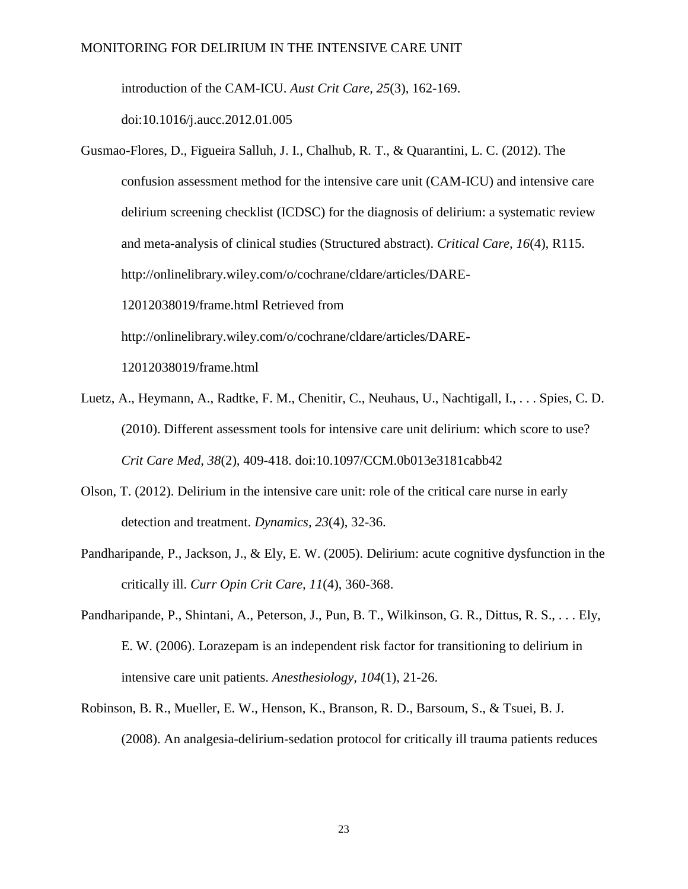introduction of the CAM-ICU. *Aust Crit Care, 25*(3), 162-169.

doi:10.1016/j.aucc.2012.01.005

- Gusmao-Flores, D., Figueira Salluh, J. I., Chalhub, R. T., & Quarantini, L. C. (2012). The confusion assessment method for the intensive care unit (CAM-ICU) and intensive care delirium screening checklist (ICDSC) for the diagnosis of delirium: a systematic review and meta-analysis of clinical studies (Structured abstract). *Critical Care, 16*(4), R115. http://onlinelibrary.wiley.com/o/cochrane/cldare/articles/DARE-12012038019/frame.html Retrieved from http://onlinelibrary.wiley.com/o/cochrane/cldare/articles/DARE-12012038019/frame.html
- Luetz, A., Heymann, A., Radtke, F. M., Chenitir, C., Neuhaus, U., Nachtigall, I., . . . Spies, C. D. (2010). Different assessment tools for intensive care unit delirium: which score to use? *Crit Care Med, 38*(2), 409-418. doi:10.1097/CCM.0b013e3181cabb42
- Olson, T. (2012). Delirium in the intensive care unit: role of the critical care nurse in early detection and treatment. *Dynamics, 23*(4), 32-36.
- Pandharipande, P., Jackson, J., & Ely, E. W. (2005). Delirium: acute cognitive dysfunction in the critically ill. *Curr Opin Crit Care, 11*(4), 360-368.
- Pandharipande, P., Shintani, A., Peterson, J., Pun, B. T., Wilkinson, G. R., Dittus, R. S., . . . Ely, E. W. (2006). Lorazepam is an independent risk factor for transitioning to delirium in intensive care unit patients. *Anesthesiology, 104*(1), 21-26.
- Robinson, B. R., Mueller, E. W., Henson, K., Branson, R. D., Barsoum, S., & Tsuei, B. J. (2008). An analgesia-delirium-sedation protocol for critically ill trauma patients reduces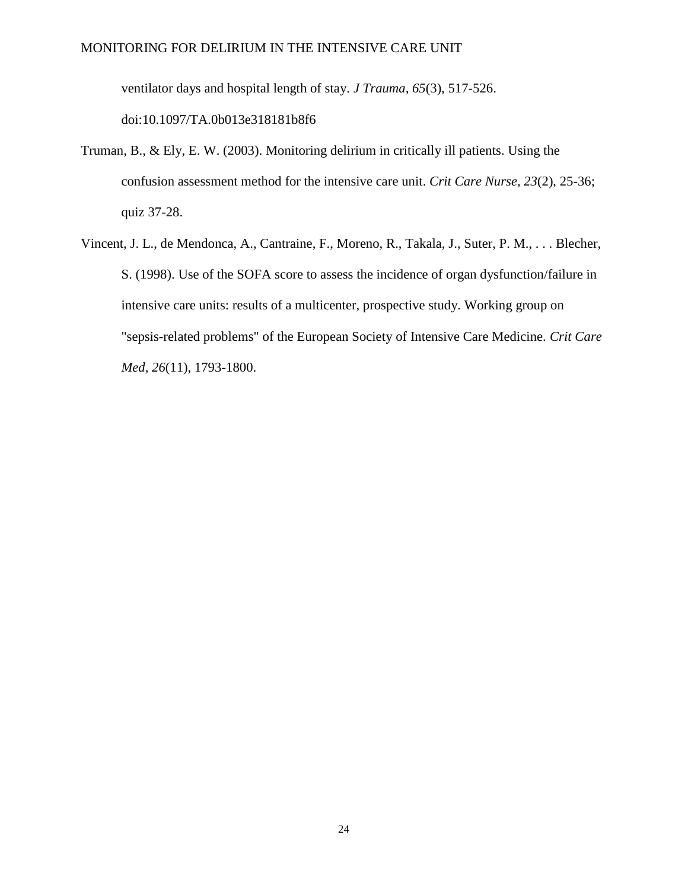ventilator days and hospital length of stay. *J Trauma, 65*(3), 517-526.

doi:10.1097/TA.0b013e318181b8f6

- Truman, B., & Ely, E. W. (2003). Monitoring delirium in critically ill patients. Using the confusion assessment method for the intensive care unit. *Crit Care Nurse, 23*(2), 25-36; quiz 37-28.
- Vincent, J. L., de Mendonca, A., Cantraine, F., Moreno, R., Takala, J., Suter, P. M., . . . Blecher, S. (1998). Use of the SOFA score to assess the incidence of organ dysfunction/failure in intensive care units: results of a multicenter, prospective study. Working group on "sepsis-related problems" of the European Society of Intensive Care Medicine. *Crit Care Med, 26*(11), 1793-1800.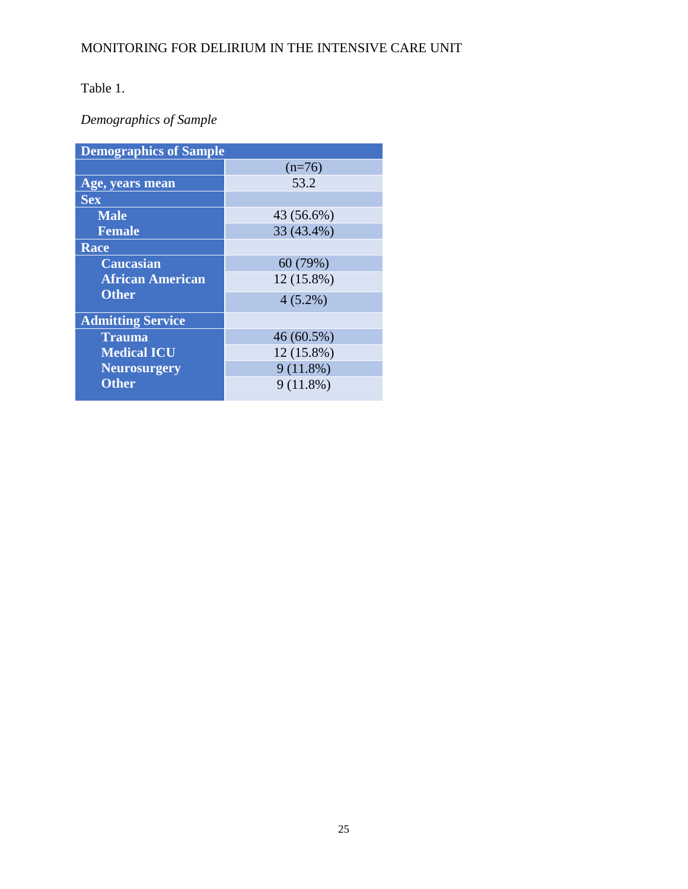# Table 1.

# *Demographics of Sample*

| <b>Demographics of Sample</b> |              |  |
|-------------------------------|--------------|--|
|                               | $(n=76)$     |  |
| Age, years mean               | 53.2         |  |
| <b>Sex</b>                    |              |  |
| <b>Male</b>                   | 43 (56.6%)   |  |
| <b>Female</b>                 | 33 (43.4%)   |  |
| Race                          |              |  |
| Caucasian                     | 60 (79%)     |  |
| <b>African American</b>       | 12 (15.8%)   |  |
| <b>Other</b>                  | $4(5.2\%)$   |  |
| <b>Admitting Service</b>      |              |  |
| <b>Trauma</b>                 | $46(60.5\%)$ |  |
| <b>Medical ICU</b>            | 12 (15.8%)   |  |
| <b>Neurosurgery</b>           | $9(11.8\%)$  |  |
| <b>Other</b>                  | $9(11.8\%)$  |  |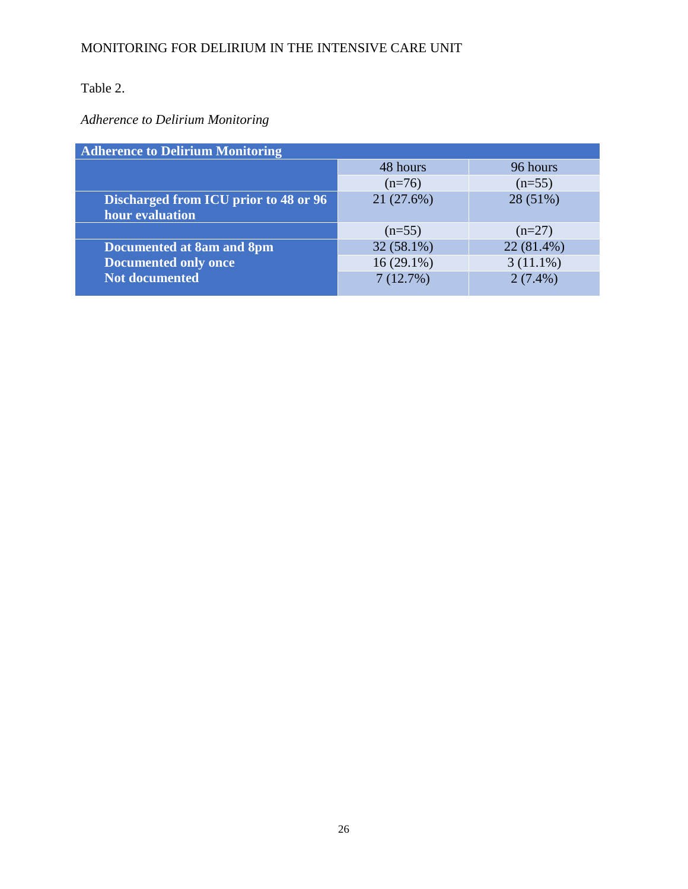# Table 2.

# *Adherence to Delirium Monitoring*

| <b>Adherence to Delirium Monitoring</b> |              |             |
|-----------------------------------------|--------------|-------------|
|                                         | 48 hours     | 96 hours    |
|                                         | $(n=76)$     | $(n=55)$    |
| Discharged from ICU prior to 48 or 96   | 21(27.6%)    | 28 (51%)    |
| hour evaluation                         |              |             |
|                                         | $(n=55)$     | $(n=27)$    |
| <b>Documented at 8am and 8pm</b>        | $32(58.1\%)$ | 22 (81.4%)  |
| <b>Documented only once</b>             | $16(29.1\%)$ | $3(11.1\%)$ |
| Not documented                          | 7(12.7%)     | $2(7.4\%)$  |
|                                         |              |             |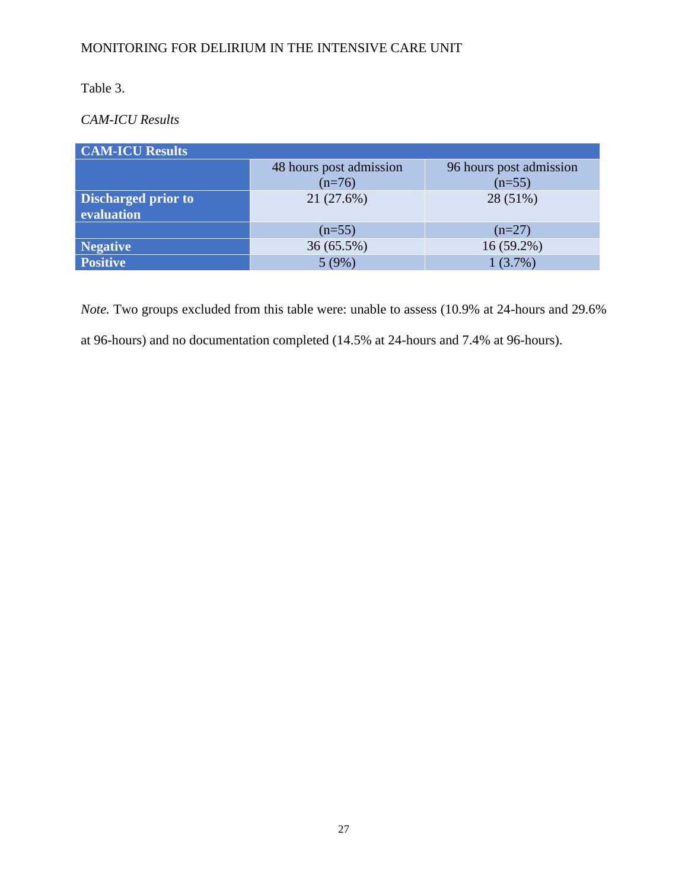# Table 3.

# *CAM-ICU Results*

| <b>CAM-ICU Results</b>                   |                                     |                                     |  |
|------------------------------------------|-------------------------------------|-------------------------------------|--|
|                                          | 48 hours post admission<br>$(n=76)$ | 96 hours post admission<br>$(n=55)$ |  |
| <b>Discharged prior to</b><br>evaluation | 21 (27.6%)                          | 28 (51%)                            |  |
|                                          | $(n=55)$                            | $(n=27)$                            |  |
| Negative                                 | $36(65.5\%)$                        | $16(59.2\%)$                        |  |
| <b>Positive</b>                          | 5(9%)                               | $1(3.7\%)$                          |  |

*Note.* Two groups excluded from this table were: unable to assess (10.9% at 24-hours and 29.6% at 96-hours) and no documentation completed (14.5% at 24-hours and 7.4% at 96-hours).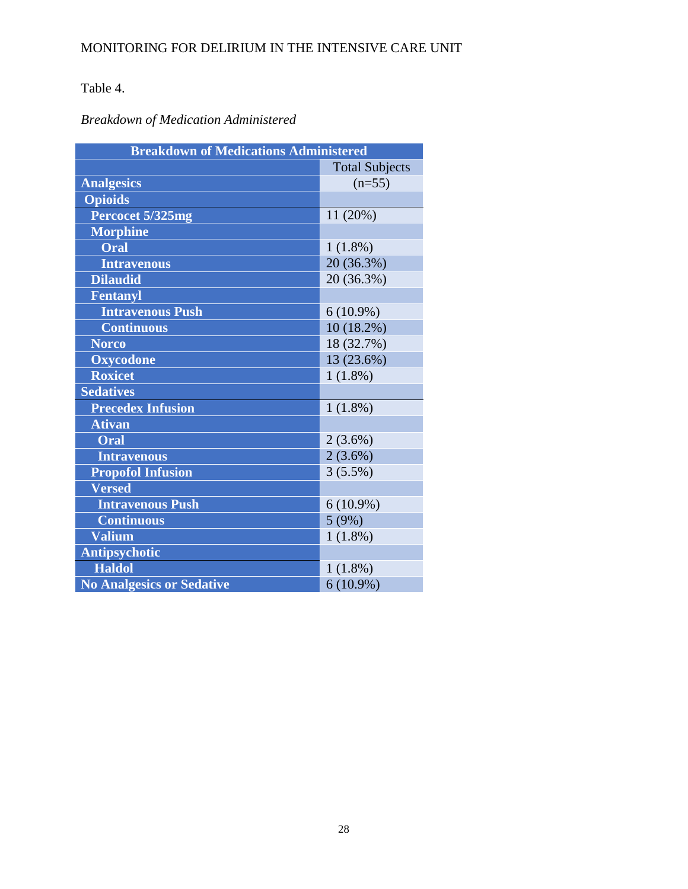# Table 4.

# *Breakdown of Medication Administered*

| <b>Breakdown of Medications Administered</b> |                       |
|----------------------------------------------|-----------------------|
|                                              | <b>Total Subjects</b> |
| <b>Analgesics</b>                            | $(n=55)$              |
| <b>Opioids</b>                               |                       |
| Percocet 5/325mg                             | 11(20%)               |
| <b>Morphine</b>                              |                       |
| Oral                                         | 1(1.8%)               |
| <b>Intravenous</b>                           | 20 (36.3%)            |
| <b>Dilaudid</b>                              | 20 (36.3%)            |
| <b>Fentanyl</b>                              |                       |
| <b>Intravenous Push</b>                      | $6(10.9\%)$           |
| <b>Continuous</b>                            | $10(18.2\%)$          |
| <b>Norco</b>                                 | 18 (32.7%)            |
| <b>Oxycodone</b>                             | 13 (23.6%)            |
| <b>Roxicet</b>                               | $1(1.8\%)$            |
| <b>Sedatives</b>                             |                       |
| <b>Precedex Infusion</b>                     | $1(1.8\%)$            |
| <b>Ativan</b>                                |                       |
| Oral                                         | $2(3.6\%)$            |
| <b>Intravenous</b>                           | $2(3.6\%)$            |
| <b>Propofol Infusion</b>                     | $3(5.5\%)$            |
| <b>Versed</b>                                |                       |
| <b>Intravenous Push</b>                      | $6(10.9\%)$           |
| <b>Continuous</b>                            | 5(9%)                 |
| <b>Valium</b>                                | $1(1.8\%)$            |
| <b>Antipsychotic</b>                         |                       |
| <b>Haldol</b>                                | 1(1.8%)               |
| <b>No Analgesics or Sedative</b>             | $6(10.9\%)$           |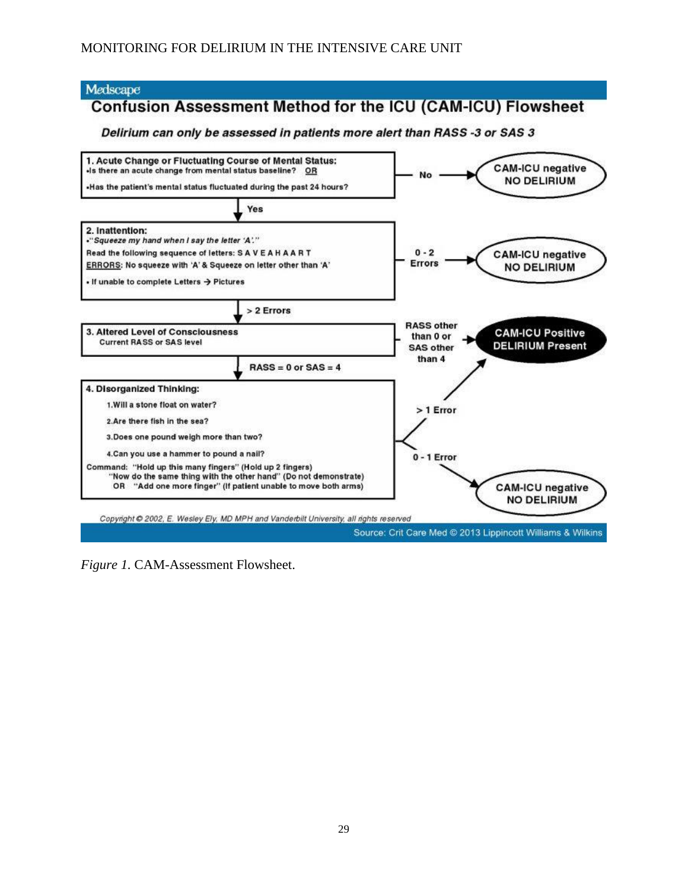### Medscape

# **Confusion Assessment Method for the ICU (CAM-ICU) Flowsheet**

### Delirium can only be assessed in patients more alert than RASS -3 or SAS 3



*Figure 1.* CAM-Assessment Flowsheet.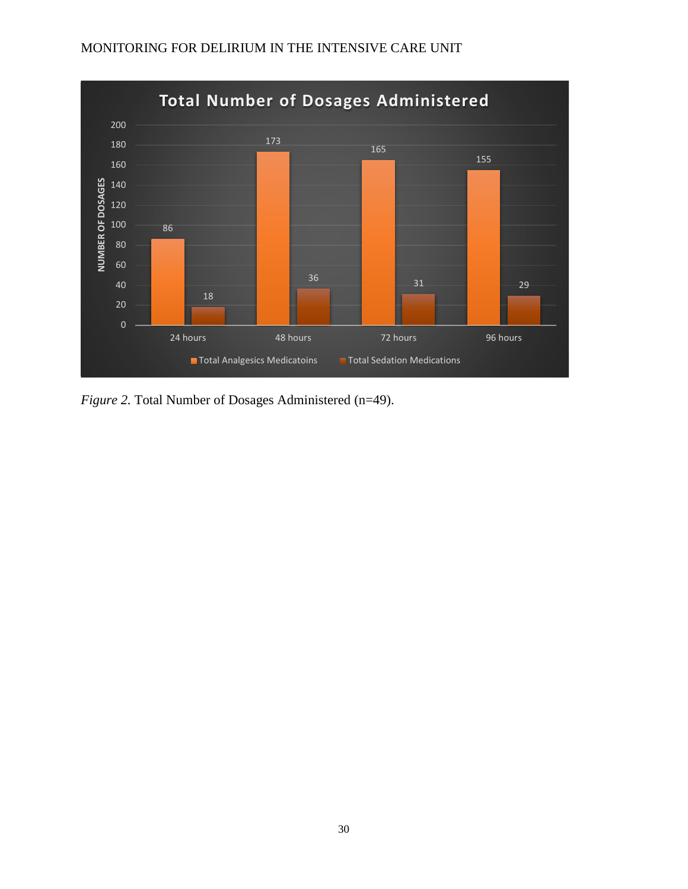### **Total Number of Dosages Administered**  NUMBER OF DOSAGES **NUMBER OF DOSAGES** <sup>31</sup> <sup>29</sup> extending the term of the 48 hours of the 48 hours of the 48 hours of the 48 hours of the 48 hours of the 48 hours of the 48 hours of the 48 hours of the 48 hours of the 48 hours of the 48 hours of the 48 hours of the 48 h **T** Total Analgesics Medicatoins Total Sedation Medications

# MONITORING FOR DELIRIUM IN THE INTENSIVE CARE UNIT

*Figure 2.* Total Number of Dosages Administered (n=49).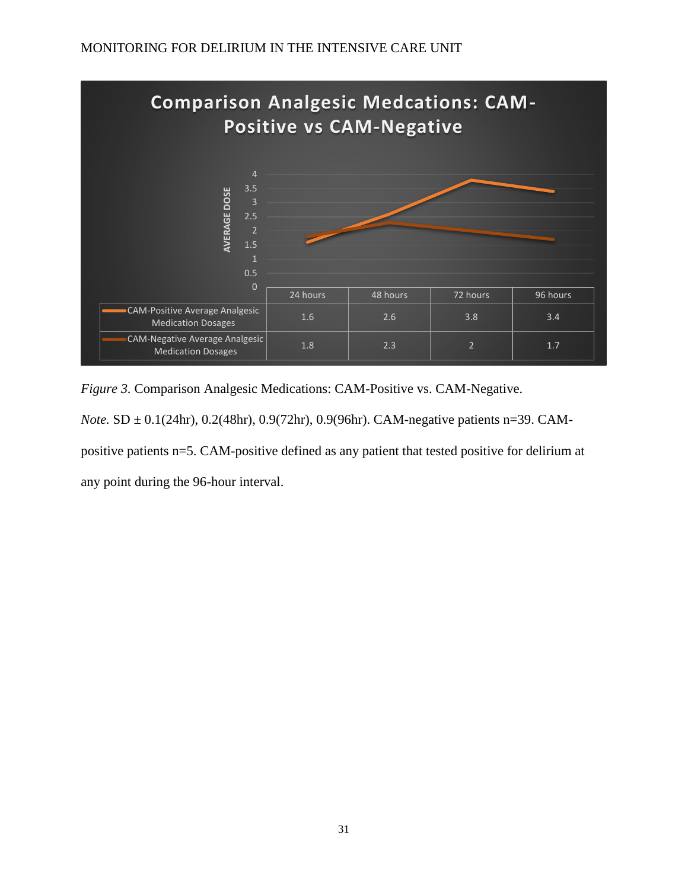

*Figure 3.* Comparison Analgesic Medications: CAM-Positive vs. CAM-Negative. *Note.* **SD**  $\pm$  0.1(24hr), 0.2(48hr), 0.9(72hr), 0.9(96hr). CAM-negative patients n=39. CAMpositive patients n=5. CAM-positive defined as any patient that tested positive for delirium at any point during the 96-hour interval.